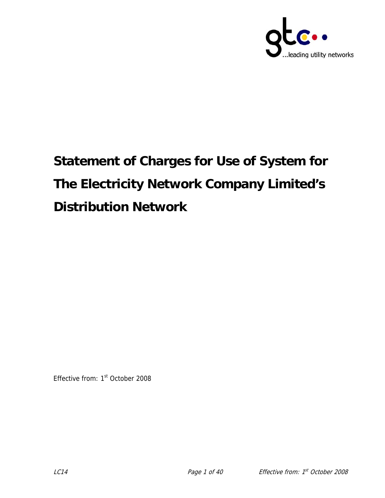

# **Statement of Charges for Use of System for The Electricity Network Company Limited's Distribution Network**

Effective from: 1<sup>st</sup> October 2008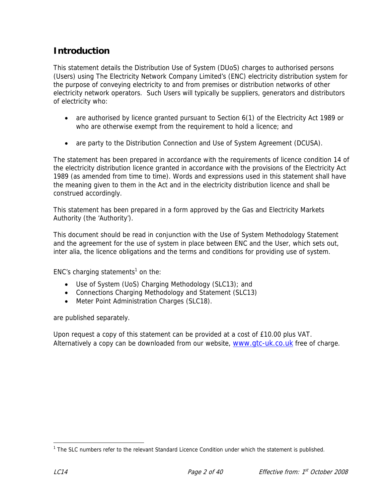### **Introduction**

This statement details the Distribution Use of System (DUoS) charges to authorised persons (Users) using The Electricity Network Company Limited's (ENC) electricity distribution system for the purpose of conveying electricity to and from premises or distribution networks of other electricity network operators. Such Users will typically be suppliers, generators and distributors of electricity who:

- are authorised by licence granted pursuant to Section 6(1) of the Electricity Act 1989 or who are otherwise exempt from the requirement to hold a licence; and
- are party to the Distribution Connection and Use of System Agreement (DCUSA).

The statement has been prepared in accordance with the requirements of licence condition 14 of the electricity distribution licence granted in accordance with the provisions of the Electricity Act 1989 (as amended from time to time). Words and expressions used in this statement shall have the meaning given to them in the Act and in the electricity distribution licence and shall be construed accordingly.

This statement has been prepared in a form approved by the Gas and Electricity Markets Authority (the 'Authority').

This document should be read in conjunction with the Use of System Methodology Statement and the agreement for the use of system in place between ENC and the User, which sets out, inter alia, the licence obligations and the terms and conditions for providing use of system.

ENC's charging statements<sup>1</sup> on the:

- Use of System (UoS) Charging Methodology (SLC13); and
- Connections Charging Methodology and Statement (SLC13)
- Meter Point Administration Charges (SLC18).

are published separately.

Upon request a copy of this statement can be provided at a cost of £10.00 plus VAT. Alternatively a copy can be downloaded from our website, www.gtc-uk.co.uk free of charge.

 $\overline{a}$ 

<sup>&</sup>lt;sup>1</sup> The SLC numbers refer to the relevant Standard Licence Condition under which the statement is published.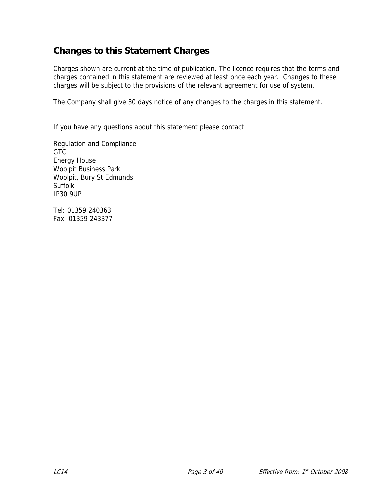### **Changes to this Statement Charges**

Charges shown are current at the time of publication. The licence requires that the terms and charges contained in this statement are reviewed at least once each year. Changes to these charges will be subject to the provisions of the relevant agreement for use of system.

The Company shall give 30 days notice of any changes to the charges in this statement.

If you have any questions about this statement please contact

Regulation and Compliance **GTC** Energy House Woolpit Business Park Woolpit, Bury St Edmunds Suffolk IP30 9UP

Tel: 01359 240363 Fax: 01359 243377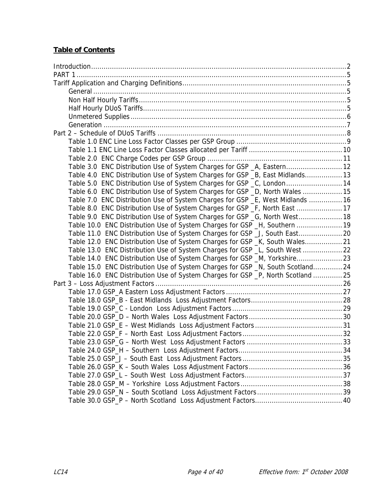### **Table of Contents**

| Table 3.0 ENC Distribution Use of System Charges for GSP _A, Eastern 12          |
|----------------------------------------------------------------------------------|
| Table 4.0 ENC Distribution Use of System Charges for GSP _B, East Midlands 13    |
| Table 5.0 ENC Distribution Use of System Charges for GSP _C, London 14           |
| Table 6.0 ENC Distribution Use of System Charges for GSP _D, North Wales  15     |
| Table 7.0 ENC Distribution Use of System Charges for GSP _E, West Midlands  16   |
| Table 8.0 ENC Distribution Use of System Charges for GSP _F, North East 17       |
| Table 9.0 ENC Distribution Use of System Charges for GSP _G, North West 18       |
|                                                                                  |
| Table 10.0 ENC Distribution Use of System Charges for GSP _H, Southern  19       |
| Table 11.0 ENC Distribution Use of System Charges for GSP _J, South East 20      |
| Table 12.0 ENC Distribution Use of System Charges for GSP _K, South Wales21      |
| Table 13.0 ENC Distribution Use of System Charges for GSP _L, South West  22     |
| Table 14.0 ENC Distribution Use of System Charges for GSP _M, Yorkshire 23       |
| Table 15.0 ENC Distribution Use of System Charges for GSP _N, South Scotland24   |
| Table 16.0 ENC Distribution Use of System Charges for GSP _P, North Scotland  25 |
|                                                                                  |
|                                                                                  |
|                                                                                  |
|                                                                                  |
|                                                                                  |
|                                                                                  |
|                                                                                  |
|                                                                                  |
|                                                                                  |
|                                                                                  |
|                                                                                  |
|                                                                                  |
|                                                                                  |
|                                                                                  |
|                                                                                  |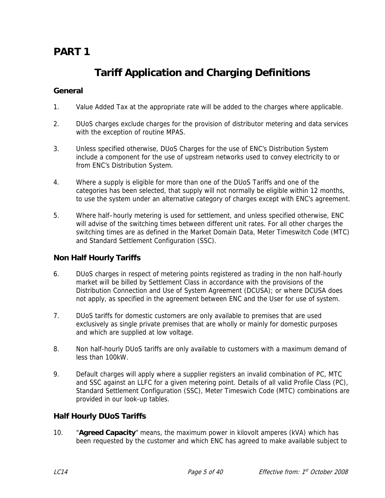# **Tariff Application and Charging Definitions**

### **General**

- 1. Value Added Tax at the appropriate rate will be added to the charges where applicable.
- 2. DUoS charges exclude charges for the provision of distributor metering and data services with the exception of routine MPAS.
- 3. Unless specified otherwise, DUoS Charges for the use of ENC's Distribution System include a component for the use of upstream networks used to convey electricity to or from ENC's Distribution System.
- 4. Where a supply is eligible for more than one of the DUoS Tariffs and one of the categories has been selected, that supply will not normally be eligible within 12 months, to use the system under an alternative category of charges except with ENC's agreement.
- 5. Where half–hourly metering is used for settlement, and unless specified otherwise, ENC will advise of the switching times between different unit rates. For all other charges the switching times are as defined in the Market Domain Data, Meter Timeswitch Code (MTC) and Standard Settlement Configuration (SSC).

### **Non Half Hourly Tariffs**

- 6. DUoS charges in respect of metering points registered as trading in the non half-hourly market will be billed by Settlement Class in accordance with the provisions of the Distribution Connection and Use of System Agreement (DCUSA); or where DCUSA does not apply, as specified in the agreement between ENC and the User for use of system.
- 7. DUoS tariffs for domestic customers are only available to premises that are used exclusively as single private premises that are wholly or mainly for domestic purposes and which are supplied at low voltage.
- 8. Non half-hourly DUoS tariffs are only available to customers with a maximum demand of less than 100kW.
- 9. Default charges will apply where a supplier registers an invalid combination of PC, MTC and SSC against an LLFC for a given metering point. Details of all valid Profile Class (PC), Standard Settlement Configuration (SSC), Meter Timeswich Code (MTC) combinations are provided in our look-up tables.

#### **Half Hourly DUoS Tariffs**

10. "**Agreed Capacity**" means, the maximum power in kilovolt amperes (kVA) which has been requested by the customer and which ENC has agreed to make available subject to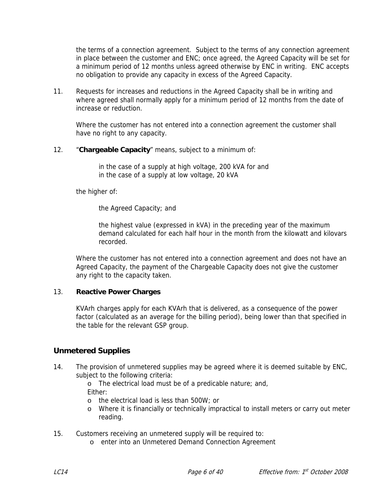the terms of a connection agreement. Subject to the terms of any connection agreement in place between the customer and ENC; once agreed, the Agreed Capacity will be set for a minimum period of 12 months unless agreed otherwise by ENC in writing. ENC accepts no obligation to provide any capacity in excess of the Agreed Capacity.

11. Requests for increases and reductions in the Agreed Capacity shall be in writing and where agreed shall normally apply for a minimum period of 12 months from the date of increase or reduction.

Where the customer has not entered into a connection agreement the customer shall have no right to any capacity.

#### 12. "**Chargeable Capacity**" means, subject to a minimum of:

in the case of a supply at high voltage, 200 kVA for and in the case of a supply at low voltage, 20 kVA

the higher of:

the Agreed Capacity; and

the highest value (expressed in kVA) in the preceding year of the maximum demand calculated for each half hour in the month from the kilowatt and kilovars recorded.

Where the customer has not entered into a connection agreement and does not have an Agreed Capacity, the payment of the Chargeable Capacity does not give the customer any right to the capacity taken.

#### 13. **Reactive Power Charges**

KVArh charges apply for each KVArh that is delivered, as a consequence of the power factor (calculated as an average for the billing period), being lower than that specified in the table for the relevant GSP group.

#### **Unmetered Supplies**

14. The provision of unmetered supplies may be agreed where it is deemed suitable by ENC, subject to the following criteria:

> o The electrical load must be of a predicable nature; and, Either:

- o the electrical load is less than 500W; or
- o Where it is financially or technically impractical to install meters or carry out meter reading.
- 15. Customers receiving an unmetered supply will be required to:
	- o enter into an Unmetered Demand Connection Agreement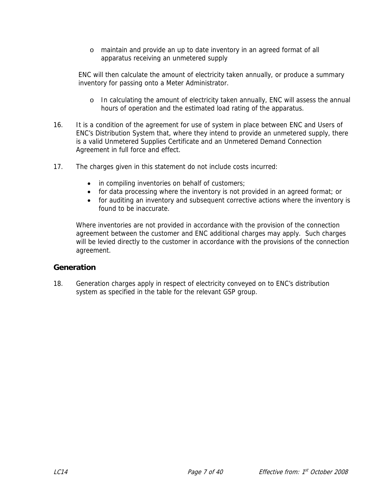o maintain and provide an up to date inventory in an agreed format of all apparatus receiving an unmetered supply

ENC will then calculate the amount of electricity taken annually, or produce a summary inventory for passing onto a Meter Administrator.

- o In calculating the amount of electricity taken annually, ENC will assess the annual hours of operation and the estimated load rating of the apparatus.
- 16. It is a condition of the agreement for use of system in place between ENC and Users of ENC's Distribution System that, where they intend to provide an unmetered supply, there is a valid Unmetered Supplies Certificate and an Unmetered Demand Connection Agreement in full force and effect.
- 17. The charges given in this statement do not include costs incurred:
	- in compiling inventories on behalf of customers;
	- for data processing where the inventory is not provided in an agreed format; or
	- for auditing an inventory and subsequent corrective actions where the inventory is found to be inaccurate.

Where inventories are not provided in accordance with the provision of the connection agreement between the customer and ENC additional charges may apply. Such charges will be levied directly to the customer in accordance with the provisions of the connection agreement.

#### **Generation**

18. Generation charges apply in respect of electricity conveyed on to ENC's distribution system as specified in the table for the relevant GSP group.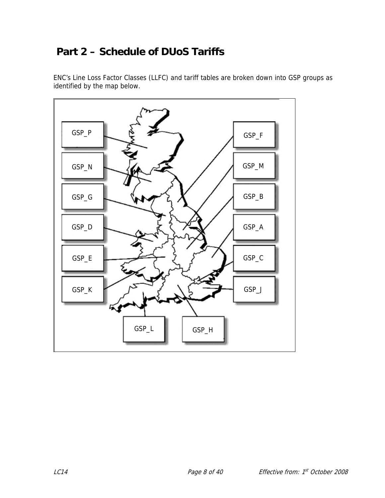# **Part 2 – Schedule of DUoS Tariffs**



ENC's Line Loss Factor Classes (LLFC) and tariff tables are broken down into GSP groups as identified by the map below.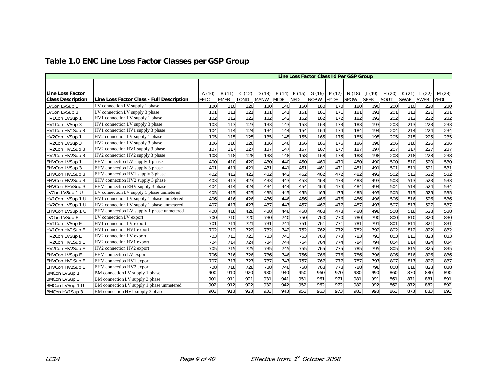| Line Loss Factor Class Id Per GSP Group |                                            |             |                  |      |             |             |             |                                                           |             |             |             |       |             |             |        |
|-----------------------------------------|--------------------------------------------|-------------|------------------|------|-------------|-------------|-------------|-----------------------------------------------------------|-------------|-------------|-------------|-------|-------------|-------------|--------|
|                                         |                                            |             |                  |      |             |             |             |                                                           |             |             |             |       |             |             |        |
|                                         |                                            |             |                  |      |             |             |             |                                                           |             |             |             |       |             |             |        |
| Line Loss Factor                        |                                            | A (10)      | _B (11)  _C (12) |      |             |             |             | _D (13)   _E (14)   _F (15)   _G (16)   _P (17)   _N (18) |             |             | J(19)       | H(20) | K(21)       | L(22)       | M (23) |
| <b>Class Description</b>                | Line Loss Factor Class - Full Description  | <b>EELC</b> | <b>EMEB</b>      | LOND | <b>MANW</b> | <b>MIDE</b> | <b>NEDL</b> | <b>NORW</b>                                               | <b>HYDE</b> | <b>SPOW</b> | <b>SEEB</b> | SOUT  | <b>SWAE</b> | <b>SWEB</b> | YEDL   |
| LVCon LVSup 1                           | LV connection LV supply 1 phase            | 100         | 110              | 120  | 130         | 140         | 150         | 160                                                       | 170         | 180         | 190         | 200   | 210         | 220         | 230    |
| LVCon LVSup 3                           | LV connection LV supply 3 phase            | 101         | 111              | 121  | 131         | 141         | 151         | 161                                                       | 171         | 181         | 191         | 201   | 211         | 221         | 231    |
| HV1Con LVSup 1                          | HV1 connection LV supply 1 phase           | 102         | 112              | 122  | 132         | 142         | 152         | 162                                                       | 172         | 182         | 192         | 202   | 212         | 222         | 232    |
| HV1Con LVSup 3                          | HV1 connection LV supply 3 phase           | 103         | 113              | 123  | 133         | 143         | 153         | 163                                                       | 173         | 183         | 193         | 203   | 213         | 223         | 233    |
| HV1Con HV1Sup 3                         | HV1 connection HV1 supply 3 phase          | 104         | 114              | 124  | 134         | 144         | 154         | 164                                                       | 174         | 184         | 194         | 204   | 214         | 224         | 234    |
| HV2Con LVSup 1                          | HV2 connection LV supply 1 phase           | 105         | 115              | 125  | 135         | 145         | 155         | 165                                                       | 175         | 185         | 195         | 205   | 215         | 225         | 235    |
| HV2Con LVSup 3                          | HV2 connection LV supply 3 phase           | 106         | 116              | 126  | 136         | 146         | 156         | 166                                                       | 176         | 186         | 196         | 206   | 216         | 226         | 236    |
| HV2Con HV1Sup 3                         | HV2 connection HV1 supply 3 phase          | 107         | 117              | 127  | 137         | 147         | 157         | 167                                                       | 177         | 187         | 197         | 207   | 217         | 227         | 237    |
| HV2Con HV2Sup 3                         | HV2 connection HV2 supply 3 phase          | 108         | 118              | 128  | 138         | 148         | 158         | 168                                                       | 178         | 188         | 198         | 208   | 218         | 228         | 238    |
| EHVCon LVSup 1                          | EHV connection LV supply 1 phase           | 400         | 410              | 420  | 430         | 440         | 450         | 460                                                       | 470         | 480         | 490         | 500   | 510         | 520         | 530    |
| EHVCon LVSup 3                          | EHV connection LV supply 3 phase           | 401         | 411              | 421  | 431         | 441         | 451         | 461                                                       | 471         | 481         | 491         | 501   | 511         | 521         | 531    |
| EHVCon HV1Sup 3                         | EHV connection HV1 supply 3 phase          | 402         | 412              | 422  | 432         | 442         | 452         | 462                                                       | 472         | 482         | 492         | 502   | 512         | 522         | 532    |
| EHVCon HV2Sup 3                         | EHV connection HV2 supply 3 phase          | 403         | 413              | 423  | 433         | 443         | 453         | 463                                                       | 473         | 483         | 493         | 503   | 513         | 523         | 533    |
| <b>EHVCon EHVSup 3</b>                  | EHV connection EHV supply 3 phase          | 404         | 414              | 424  | 434         | 444         | 454         | 464                                                       | 474         | 484         | 494         | 504   | 514         | 524         | 534    |
| LVCon LVSup 1 U                         | LV connection LV supply 1 phase unmetered  | 405         | 415              | 425  | 435         | 445         | 455         | 465                                                       | 475         | 485         | 495         | 505   | 515         | 525         | 535    |
| HV1Con LVSup 1 U                        | HV1 connection LV supply 1 phase unmetered | 406         | 416              | 426  | 436         | 446         | 456         | 466                                                       | 476         | 486         | 496         | 506   | 516         | 526         | 536    |
| HV2Con LVSup 1 U                        | HV2 connection LV supply 1 phase unmetered | 407         | 417              | 427  | 437         | 447         | 457         | 467                                                       | 477         | 487         | 497         | 507   | 517         | 527         | 537    |
| EHVCon LVSup 1 U                        | EHV connection LV supply 1 phase unmetered | 408         | 418              | 428  | 438         | 448         | 458         | 468                                                       | 478         | 488         | 498         | 508   | 518         | 528         | 538    |
| LVCon LVSup E                           | LV connection LV export                    | 700         | 710              | 720  | 730         | 740         | 750         | 760                                                       | 770         | 780         | 790         | 800   | 810         | 820         | 830    |
| HV1Con LVSup E                          | HV1 connection LV export                   | 701         | 711              | 721  | 731         | 741         | 751         | 761                                                       | 771         | 781         | 791         | 801   | 811         | 821         | 831    |
| HV1Con HV1Sup E                         | HV1 connection HV1 export                  | 702         | 712              | 722  | 732         | 742         | 752         | 762                                                       | 772         | 782         | 792         | 802   | 812         | 822         | 832    |
| HV2Con LVSup E                          | HV2 connection LV export                   | 703         | 713              | 723  | 733         | 743         | 753         | 763                                                       | 773         | 783         | 793         | 803   | 813         | 823         | 833    |
| HV2Con HV1Sup E                         | HV2 connection HV1 export                  | 704         | 714              | 724  | 734         | 744         | 754         | 764                                                       | 774         | 784         | 794         | 804   | 814         | 824         | 834    |
| HV2Con HV2Sup E                         | HV2 connection HV2 export                  | 705         | 715              | 725  | 735         | 745         | 755         | 765                                                       | 775         | 785         | 795         | 805   | 815         | 825         | 835    |
| <b>EHVCon LVSup E</b>                   | EHV connection LV export                   | 706         | 716              | 726  | 736         | 746         | 756         | 766                                                       | 776         | 786         | 796         | 806   | 816         | 826         | 836    |
| EHVCon HV1Sup E                         | EHV connection HV1 export                  | 707         | 717              | 727  | 737         | 747         | 757         | 767                                                       | 777         | 787         | 797         | 807   | 817         | 827         | 837    |
| EHVCon HV2Sup E                         | EHV connection HV2 export                  | 708         | 718              | 728  | 738         | 748         | 758         | 768                                                       | 778         | 788         | 798         | 808   | 818         | 828         | 838    |
| <b>BMCon LVSup 1</b>                    | BM connection LV supply 1 phase            | 900         | 910              | 920  | 930         | 940         | 950         | 960                                                       | 970         | 980         | 990         | 860   | 870         | 880         | 890    |
| <b>BMCon LVSup 3</b>                    | BM connection LV supply 3 phase            | 901         | 911              | 921  | 931         | 941         | 951         | 961                                                       | 971         | 981         | 991         | 861   | 871         | 881         | 891    |
| BMCon LVSup 1 U                         | BM connection LV supply 1 phase unmetered  | 902         | 912              | 922  | 932         | 942         | 952         | 962                                                       | 972         | 982         | 992         | 862   | 872         | 882         | 892    |
| BMCon HV1Sup 3                          | BM connection HV1 supply 3 phase           | 903         | 913              | 923  | 933         | 943         | 953         | 963                                                       | 973         | 983         | 993         | 863   | 873         | 883         | 893    |

### **Table 1.0 ENC Line Loss Factor Classes per GSP Group**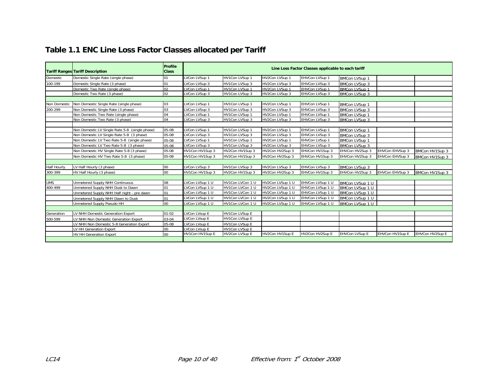### **Table 1.1 ENC Line Loss Factor Classes allocated per Tariff**

|                    | <b>Tariff Ranges Tariff Description</b>        | Profile<br><b>Class</b> |                 |                       |                  | Line Loss Factor Classes applicable to each tariff |                      |                 |                 |
|--------------------|------------------------------------------------|-------------------------|-----------------|-----------------------|------------------|----------------------------------------------------|----------------------|-----------------|-----------------|
| Domestic           | Domestic Single Rate (single phase)            | 01                      | LVCon LVSup 1   | HV1Con LVSup 1        | HV2Con LVSup 1   | EHVCon LVSup 1                                     | <b>BMCon LVSup 1</b> |                 |                 |
| 100-199            | Domestic Single Rate (3 phase)                 | 01                      | VCon LVSup 3    | HV1Con LVSup 3        | HV2Con LVSup 3   | EHVCon LVSup 3                                     | <b>BMCon LVSup 3</b> |                 |                 |
|                    | Domestic Two Rate (single phase)               | 02                      | VCon LVSup 1    | HV1Con LVSup 1        | HV2Con LVSup 1   | EHVCon LVSup 1                                     | <b>BMCon LVSup 1</b> |                 |                 |
|                    | Domestic Two Rate (3 phase)                    | 02                      | LVCon LVSup 3   | HV1Con LVSup 3        | HV2Con LVSup 3   | EHVCon LVSup 3                                     | <b>BMCon LVSup 3</b> |                 |                 |
|                    |                                                |                         |                 |                       |                  |                                                    |                      |                 |                 |
| Non Domestic       | Non Domestic Single Rate (single phase)        | 03                      | LVCon LVSup 1   | HV1Con LVSup 1        | HV2Con LVSup 1   | EHVCon LVSup 1                                     | <b>BMCon LVSup 1</b> |                 |                 |
| 200-299            | Non Domestic Single Rate (3 phase)             | 03                      | LVCon LVSup 3   | HV1Con LVSup 3        | HV2Con LVSup 3   | EHVCon LVSup 3                                     | <b>BMCon LVSup 3</b> |                 |                 |
|                    | Non Domestic Two Rate (single phase)           | 04                      | LVCon LVSup 1   | HV1Con LVSup 1        | HV2Con LVSup 1   | EHVCon LVSup 1                                     | <b>BMCon LVSup 1</b> |                 |                 |
|                    | Non Domestic Two Rate (3 phase)                | 04                      | VCon LVSup 3    | HV1Con LVSup 3        | HV2Con LVSup 3   | EHVCon LVSup 3                                     | <b>BMCon LVSup 3</b> |                 |                 |
|                    |                                                |                         |                 |                       |                  |                                                    |                      |                 |                 |
|                    | Non Domestic LV Single Rate 5-8 (single phase) | 05-08                   | LVCon LVSup 1   | HV1Con LVSup 1        | HV2Con LVSup 1   | EHVCon LVSup 1                                     | <b>BMCon LVSup 1</b> |                 |                 |
|                    | Non Domestic LV Single Rate 5-8 (3 phase)      | 05-08                   | VCon LVSup 3    | HV1Con LVSup 3        | HV2Con LVSup 3   | EHVCon LVSup 3                                     | <b>BMCon LVSup 3</b> |                 |                 |
|                    | Non Domestic LV Two Rate 5-8 (single phase)    | 05-08                   | LVCon LVSup 1   | HV1Con LVSup 1        | HV2Con LVSup 1   | EHVCon LVSup 1                                     | <b>BMCon LVSup 1</b> |                 |                 |
|                    | Non Domestic LV Two Rate 5-8 (3 phase)         | 05-08                   | LVCon LVSup 3   | HV1Con LVSup 3        | HV2Con LVSup 3   | EHVCon LVSup 3                                     | <b>BMCon LVSup 3</b> |                 |                 |
|                    | Non Domestic HV Single Rate 5-8 (3 phase)      | 05-08                   | HV1Con HV1Sup 3 | HV2Con HV1Sup 3       | HV2Con HV2Sup 3  | EHVCon HV1Sup 3                                    | EHVCon HV2Sup 3      | EHVCon EHVSup 3 | BMCon HV1Sup 3  |
|                    | Non Domestic HV Two Rate 5-8 (3 phase)         | 05-08                   | HV1Con HV1Sup 3 | HV2Con HV1Sup 3       | HV2Con HV2Sup 3  | EHVCon HV1Sup 3                                    | EHVCon HV2Sup 3      | EHVCon EHVSup 3 | BMCon HV1Sup 3  |
|                    |                                                |                         |                 |                       |                  |                                                    |                      |                 |                 |
| <b>Half Hourly</b> | LV Half Hourly (3 phase)                       | 00                      | LVCon LVSup 3   | HV1Con LVSup 3        | HV2Con LVSup 3   | EHVCon LVSup 3                                     | <b>BMCon LVSup 3</b> |                 |                 |
| 300-399            | HV Half Hourly (3 phase)                       | 00                      | HV1Con HV1Sup 3 | HV2Con HV1Sup 3       | HV2Con HV2Sup 3  | EHVCon HV1Sup 3                                    | EHVCon HV2Sup 3      | EHVCon EHVSup 3 | BMCon HV1Sup 3  |
|                    |                                                |                         |                 |                       |                  |                                                    |                      |                 |                 |
| <b>UMS</b>         | Unmetered Supply NHH Continuous                | 08                      | VCon LVSup 1 U  | HV1Con LVCon 1 U      | HV2Con LVSup 1 U | EHVCon LVSup 1 U                                   | BMCon LVSup 1 U      |                 |                 |
| 400-499            | Unmetered Supply NHH Dusk to Dawn              | 01                      | VCon LVSup 1 U  | HV1Con LVCon 1 U      | HV2Con LVSup 1 U | EHVCon LVSup 1 U                                   | BMCon LVSup 1 U      |                 |                 |
|                    | Unmetered Supply NHH Half night - pre dawn     | 01                      | LVCon LVSup 1 U | HV1Con LVCon 1 U      | HV2Con LVSup 1 U | EHVCon LVSup 1 U                                   | BMCon LVSup 1 U      |                 |                 |
|                    | Unmetered Supply NHH Dawn to Dusk              | 01                      | LVCon LVSup 1 U | HV1Con LVCon 1 U      | HV2Con LVSup 1 U | EHVCon LVSup 1 U                                   | BMCon LVSup 1 U      |                 |                 |
|                    | Unmetered Supply Pseudo HH                     | 00                      | LVCon LVSup 1 U | HV1Con LVCon 1 U      | HV2Con LVSup 1 U | EHVCon LVSup 1 U                                   | BMCon LVSup 1 U      |                 |                 |
|                    |                                                |                         |                 |                       |                  |                                                    |                      |                 |                 |
| Generation         | LV NHH Domestic Generation Export              | $01 - 02$               | LVCon LVsup E   | <b>HV1Con LVSup E</b> |                  |                                                    |                      |                 |                 |
| 500-599            | LV NHH Non Domestic Generation Export          | 03-04                   | LVCon LVsup E   | HV1Con LVSup E        |                  |                                                    |                      |                 |                 |
|                    | LV NHH Non Domestic 5-8 Generation Export      | 05-08                   | LVCon LVsup E   | HV1Con LVSup E        |                  |                                                    |                      |                 |                 |
|                    | LV HH Generation Export                        | 00                      | LVCon LVsup E   | HV1Con LVSup E        |                  |                                                    |                      |                 |                 |
|                    | <b>HV HH Generation Export</b>                 | 00                      | HV1Con HV1Sup E | <b>HV2Con LVSup E</b> | HV2Con HV1Sup E  | HV2Con HV2Sup E                                    | EHVCon LVSup E       | EHVCon HV1Sup E | EHVCon HV2Sup E |
|                    |                                                |                         |                 |                       |                  |                                                    |                      |                 |                 |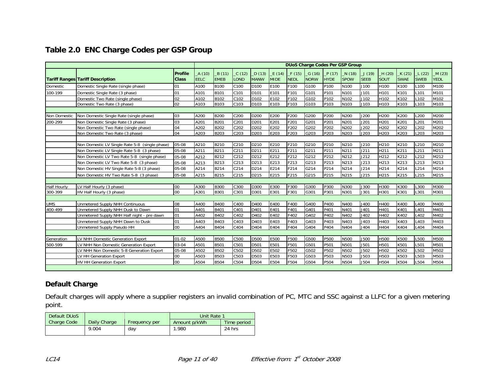|  | Table 2.0 ENC Charge Codes per GSP Group |  |  |
|--|------------------------------------------|--|--|
|--|------------------------------------------|--|--|

|                    |                                                |                                | <b>DUoS Charge Codes Per GSP Group</b><br>B(11)<br>C(12)<br>P(17)<br>K(21)<br>A (10)<br>D(13)<br>E(14)<br>F(15)<br>$-G(16)$<br>N(18)<br>J(19)<br>$-H(20)$<br>L(22) |             |                  |                  |             |             |             |                  |                  |             |                  |             |                  |                      |
|--------------------|------------------------------------------------|--------------------------------|--------------------------------------------------------------------------------------------------------------------------------------------------------------------|-------------|------------------|------------------|-------------|-------------|-------------|------------------|------------------|-------------|------------------|-------------|------------------|----------------------|
|                    | <b>Tariff Ranges Tariff Description</b>        | <b>Profile</b><br><b>Class</b> | <b>EELC</b>                                                                                                                                                        | <b>EMEB</b> | <b>LOND</b>      | <b>MANW</b>      | <b>MIDE</b> | <b>NEDL</b> | <b>NORW</b> | <b>HYDE</b>      | <b>SPOW</b>      | <b>SEEB</b> | <b>SOUT</b>      | <b>SWAE</b> | <b>SWEB</b>      | M(23)<br><b>YEDL</b> |
| <b>Domestic</b>    | Domestic Single Rate (single phase)            | 01                             | A100                                                                                                                                                               | <b>B100</b> | C100             | D <sub>100</sub> | E100        | F100        | G100        | P <sub>100</sub> | N <sub>100</sub> | J100        | H100             | K100        | L100             | M100                 |
| 100-199            | Domestic Single Rate (3 phase)                 | 01                             | A101                                                                                                                                                               | B101        | C101             | D101             | E101        | F101        | G101        | P <sub>101</sub> | N101             | J101        | H <sub>101</sub> | K101        | L101             | M101                 |
|                    | Domestic Two Rate (single phase)               | 02                             | A102                                                                                                                                                               | B102        | C102             | D102             | E102        | F102        | G102        | P102             | N102             | J102        | H102             | K102        | L <sub>102</sub> | M102                 |
|                    | Domestic Two Rate (3 phase)                    | 02                             | A103                                                                                                                                                               | <b>B103</b> | C103             | D <sub>103</sub> | E103        | F103        | G103        | P103             | N103             | J103        | H103             | K103        | L103             | M103                 |
|                    |                                                |                                |                                                                                                                                                                    |             |                  |                  |             |             |             |                  |                  |             |                  |             |                  |                      |
| Non Domestic       | Non Domestic Single Rate (single phase)        | 03                             | A200                                                                                                                                                               | <b>B200</b> | C200             | D200             | E200        | F200        | G200        | P200             | N200             | J200        | H200             | K200        | L <sub>200</sub> | M200                 |
| 200-299            | Non Domestic Single Rate (3 phase)             | 03                             | A201                                                                                                                                                               | B201        | C <sub>201</sub> | D <sub>201</sub> | E201        | F201        | G201        | P201             | N201             | J201        | H <sub>201</sub> | K201        | L <sub>201</sub> | M201                 |
|                    | Non Domestic Two Rate (single phase)           | 04                             | A202                                                                                                                                                               | B202        | C202             | D202             | E202        | F202        | G202        | P202             | N202             | J202        | H202             | K202        | L202             | M202                 |
|                    | Non Domestic Two Rate (3 phase)                | 04                             | A203                                                                                                                                                               | B203        | C203             | D203             | E203        | F203        | G203        | P203             | N203             | J203        | H203             | K203        | L203             | M203                 |
|                    |                                                |                                |                                                                                                                                                                    |             |                  |                  |             |             |             |                  |                  |             |                  |             |                  |                      |
|                    | Non Domestic LV Single Rate 5-8 (single phase) | 05-08                          | A210                                                                                                                                                               | B210        | C210             | D210             | E210        | F210        | G210        | P210             | N210             | J210        | H210             | K210        | L210             | M210                 |
|                    | Non Domestic LV Single Rate 5-8 (3 phase)      | 05-08                          | A211                                                                                                                                                               | B211        | C <sub>211</sub> | D211             | E211        | F211        | G211        | P211             | N211             | J211        | H211             | K211        | L211             | M211                 |
|                    | Non Domestic LV Two Rate 5-8 (single phase)    | 05-08                          | A212                                                                                                                                                               | B212        | C <sub>212</sub> | D212             | E212        | F212        | G212        | P212             | N212             | J212        | H212             | K212        | L212             | M212                 |
|                    | Non Domestic LV Two Rate 5-8 (3 phase)         | 05-08                          | A213                                                                                                                                                               | B213        | C213             | D213             | E213        | F213        | G213        | P213             | N213             | J213        | H213             | K213        | L213             | M213                 |
|                    | Non Domestic HV Single Rate 5-8 (3 phase)      | 05-08                          | A214                                                                                                                                                               | B214        | C <sub>214</sub> | D214             | E214        | F214        | G214        | P214             | N214             | J214        | H214             | K214        | L <sub>214</sub> | M214                 |
|                    | Non Domestic HV Two Rate 5-8 (3 phase)         | 05-08                          | A215                                                                                                                                                               | B215        | C215             | D215             | E215        | F215        | G215        | P215             | N215             | J215        | H215             | K215        | L215             | M215                 |
|                    |                                                |                                |                                                                                                                                                                    |             |                  |                  |             |             |             |                  |                  |             |                  |             |                  |                      |
| <b>Half Hourly</b> | LV Half Hourly (3 phase)                       | 00                             | A300                                                                                                                                                               | <b>B300</b> | C300             | D300             | E300        | F300        | G300        | P300             | N300             | J300        | H300             | K300        | L300             | M300                 |
| 300-399            | HV Half Hourly (3 phase)                       | 00                             | A301                                                                                                                                                               | <b>B301</b> | C301             | D301             | E301        | F301        | G301        | P301             | N301             | J301        | H301             | K301        | L301             | M301                 |
|                    |                                                |                                |                                                                                                                                                                    |             |                  |                  |             |             |             |                  |                  |             |                  |             |                  |                      |
| <b>UMS</b>         | <b>Unmetered Supply NHH Continuous</b>         | 08                             | A400                                                                                                                                                               | <b>B400</b> | C400             | D400             | E400        | F400        | G400        | P400             | N400             | J400        | H400             | K400        | L400             | M400                 |
| 400-499            | Unmetered Supply NHH Dusk to Dawn              | 01                             | A401                                                                                                                                                               | B401        | C401             | D401             | E401        | F401        | G401        | P401             | N401             | J401        | H401             | K401        | L401             | M401                 |
|                    | Unmetered Supply NHH Half night - pre dawn     | 01                             | A402                                                                                                                                                               | B402        | C402             | D402             | E402        | F402        | G402        | P402             | N402             | J402        | H402             | K402        | L402             | M402                 |
|                    | Unmetered Supply NHH Dawn to Dusk              | 01                             | A403                                                                                                                                                               | B403        | C403             | D403             | E403        | F403        | G403        | P403             | N403             | J403        | H403             | K403        | L403             | M403                 |
|                    | Unmetered Supply Pseudo HH                     | 00                             | A404                                                                                                                                                               | <b>B404</b> | C404             | D404             | E404        | F404        | G404        | P404             | N404             | J404        | H404             | K404        | L404             | M404                 |
|                    |                                                |                                |                                                                                                                                                                    |             |                  |                  |             |             |             |                  |                  |             |                  |             |                  |                      |
| Generation         | LV NHH Domestic Generation Export              | $01 - 02$                      | A500                                                                                                                                                               | <b>B500</b> | C500             | D500             | E500        | F500        | G500        | P500             | <b>N500</b>      | <b>J500</b> | <b>H500</b>      | K500        | L500             | M500                 |
| 500-599            | LV NHH Non Domestic Generation Export          | 03-04                          | A501                                                                                                                                                               | <b>B501</b> | C501             | D501             | E501        | F501        | G501        | P501             | N501             | J501        | H501             | K501        | L501             | M501                 |
|                    | LV NHH Non Domestic 5-8 Generation Export      | 05-08                          | A502                                                                                                                                                               | <b>B502</b> | C502             | D502             | E502        | F502        | G502        | P502             | N502             | J502        | H502             | K502        | L502             | M502                 |
|                    | LV HH Generation Export                        | 00                             | A503                                                                                                                                                               | <b>B503</b> | C503             | D503             | E503        | F503        | G503        | P503             | N503             | J503        | H503             | K503        | L503             | M503                 |
|                    | HV HH Generation Export                        | $00\,$                         | A504                                                                                                                                                               | <b>B504</b> | C504             | D504             | E504        | F504        | G504        | P504             | N504             | J504        | H504             | K504        | L504             | M504                 |
|                    |                                                |                                |                                                                                                                                                                    |             |                  |                  |             |             |             |                  |                  |             |                  |             |                  |                      |

### **Default Charge**

Default charges will apply where a supplier registers an invalid combination of PC, MTC and SSC against a LLFC for a given metering point.

| Default DUoS |              |               | Unit Rate 1  |             |
|--------------|--------------|---------------|--------------|-------------|
| Charge Code  | Daily Charge | Frequency per | Amount p/kWh | Time period |
|              | 9.004        | day           | 980. ا       | 24 hrs      |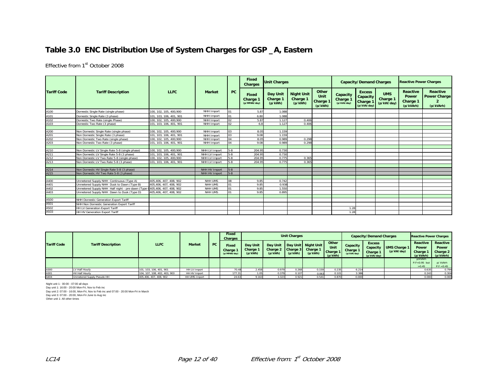### **Table 3.0 ENC Distribution Use of System Charges for GSP \_A, Eastern**

Effective from 1st October 2008

| <b>Tariff Code</b> |                                                                          |                         |                |                  | Fixed<br><b>Charges</b>           | <b>Unit Charges</b>             |                                          |                                      |                                     | <b>Capacity/Demand Charges</b>                                  |                                             | <b>Reactive Power Charges</b>              |                                                     |
|--------------------|--------------------------------------------------------------------------|-------------------------|----------------|------------------|-----------------------------------|---------------------------------|------------------------------------------|--------------------------------------|-------------------------------------|-----------------------------------------------------------------|---------------------------------------------|--------------------------------------------|-----------------------------------------------------|
|                    | <b>Tariff Description</b>                                                | <b>LLFC</b>             | <b>Market</b>  | <b>PC</b>        | Fixed<br>Charge 1<br>(p/MPAN/day) | Day Unit<br>Charge 1<br>(p/kWh) | <b>Night Unit</b><br>Charge 1<br>(p/kWh) | Other<br>Unit<br>Charge 1<br>(p/kWh) | Capacity<br>Charge 1<br>(p/kVA/day) | <b>Excess</b><br>Capacity<br>Charge <sup>®</sup><br>(p/kVA/day) | <b>UMS</b><br><b>Charge 1</b><br>(p/kW/day) | Reactive<br>Power<br>Charge 1<br>(p/kVArh) | <b>Reactive</b><br><b>Power Charge</b><br>(p/kVArh) |
| A100               | Domestic Single Rate (single phase)                                      | 100, 102, 105, 400, 900 | NHH Import     | 101              | 5.87                              | 1.088                           |                                          |                                      |                                     |                                                                 |                                             |                                            |                                                     |
| A101               | Domestic Single Rate (3 phase)                                           | 101. 103. 106. 401. 901 | NHH Import     | 01               | 6.80                              | 1.088                           |                                          |                                      |                                     |                                                                 |                                             |                                            |                                                     |
| A102               | Domestic Two Rate (single Phase)                                         | 100, 102, 105, 400,900  | NHH Import     | 02               | 5.87                              | 1.127                           | 0.406                                    |                                      |                                     |                                                                 |                                             |                                            |                                                     |
| A103               | Domestic Two Rate (3 phase)                                              | 101. 103. 106. 401. 901 | NHH Import     | 02               | 6.8                               | 1.127                           | 0.406                                    |                                      |                                     |                                                                 |                                             |                                            |                                                     |
|                    |                                                                          |                         |                |                  |                                   |                                 |                                          |                                      |                                     |                                                                 |                                             |                                            |                                                     |
| A200               | Non Domestic Single Rate (single phase)                                  | 100. 102. 105. 400.900  | NHH Import     | 03               | 8.05                              | 1.159                           |                                          |                                      |                                     |                                                                 |                                             |                                            |                                                     |
| A201               | Non Domestic Single Rate (3 phase)                                       | 101. 103. 106. 401. 901 | NHH Import     | 0.3 <sup>2</sup> | 9.08                              | 1.159                           |                                          |                                      |                                     |                                                                 |                                             |                                            |                                                     |
| A202               | Non Domestic Two Rate (single phase)                                     | 100. 102. 105. 400.900  | NHH Import     | 04               | 8.05                              | 0.989                           | 0.298                                    |                                      |                                     |                                                                 |                                             |                                            |                                                     |
| A203               | Non Domestic Two Rate (3 phase)                                          | 101, 103, 106, 401, 901 | NHH Import     | 04               | 9.08                              | 0.989                           | 0.298                                    |                                      |                                     |                                                                 |                                             |                                            |                                                     |
|                    |                                                                          |                         |                |                  |                                   |                                 |                                          |                                      |                                     |                                                                 |                                             |                                            |                                                     |
| A210               | Non Domestic LV Single Rate 5-8 (single phase)                           | 100, 102, 105, 400, 900 | NHH LV Import  | 5-8              | 204.95                            | 0.730                           |                                          |                                      |                                     |                                                                 |                                             |                                            |                                                     |
| A211               | Non Domestic LV Single Rate 5-8 (3 phase)                                | 101, 103, 106, 401, 901 | NHH IV Import  | $5-8$            | 204.95                            | 0.730                           |                                          |                                      |                                     |                                                                 |                                             |                                            |                                                     |
| A212               | Non Domestic LV Two Rate 5-8 (single phase)                              | 100. 102. 105. 400.900  | NHH LV Import  | 5-8              | 204.95                            | 0.775                           | 0.365                                    |                                      |                                     |                                                                 |                                             |                                            |                                                     |
| A213               | Non Domestic LV Two Rate 5-8 (3 phase)                                   | 101, 103, 106, 401, 901 | NHH LV Import  | 5-8              | 204.95                            | 0.775                           | 0.365                                    |                                      |                                     |                                                                 |                                             |                                            |                                                     |
|                    |                                                                          |                         |                |                  |                                   |                                 |                                          |                                      |                                     |                                                                 |                                             |                                            |                                                     |
| A214               | Non Domestic HV Single Rate 5-8 (3 phase)                                |                         | NHH HV Import  | 5-8              |                                   |                                 |                                          |                                      |                                     |                                                                 |                                             |                                            |                                                     |
| A215               | Non Domestic HV Two Rate 5-8 (3 phase)                                   |                         | NHH HV Import  | 5-8              |                                   |                                 |                                          |                                      |                                     |                                                                 |                                             |                                            |                                                     |
|                    |                                                                          |                         |                |                  |                                   |                                 |                                          |                                      |                                     |                                                                 |                                             |                                            |                                                     |
| A400               | Unmetered Supply NHH Continuous (Type A)                                 | 405.406.407.408.902     | NHH UMS        | 80               | 9.85                              | 0.742                           |                                          |                                      |                                     |                                                                 |                                             |                                            |                                                     |
| A401               | Unmetered Supply NHH Dusk to Dawn (Type B)                               | 405,406, 407, 408, 902  | NHH UMS        | 01               | 9.85                              | 0.938                           |                                          |                                      |                                     |                                                                 |                                             |                                            |                                                     |
| A402               | Unmetered Supply NHH Half night - pre dawn (Type 0405,406, 407, 408, 902 |                         | <b>NHH UMS</b> | 101              | 9.85                              | 1.550                           |                                          |                                      |                                     |                                                                 |                                             |                                            |                                                     |
| A403               | Unmetered Supply NHH Dawn to Dusk (Type D)                               | 405,406, 407, 408, 902  | NHH UMS        | lo1              | 9.85                              | 0.895                           |                                          |                                      |                                     |                                                                 |                                             |                                            |                                                     |
|                    |                                                                          |                         |                |                  |                                   |                                 |                                          |                                      |                                     |                                                                 |                                             |                                            |                                                     |
| A500               | NHH Domestic Generation Export Tariff                                    |                         |                |                  |                                   |                                 |                                          |                                      |                                     |                                                                 |                                             |                                            |                                                     |
| A501               | NHH Non Domestic Generation Export Tariff                                |                         |                |                  |                                   |                                 |                                          |                                      |                                     |                                                                 |                                             |                                            |                                                     |
| A502               | HH LV Generation Export Tariff                                           |                         |                |                  |                                   |                                 |                                          |                                      | 1.28                                |                                                                 |                                             |                                            |                                                     |
| A503               | HH HV Generation Export Tariff                                           |                         |                |                  |                                   |                                 |                                          |                                      | 1.28                                |                                                                 |                                             |                                            |                                                     |

|                    |                            |                              |               |    | Fixed<br>Charges                  |                                            |         | <b>Unit Charges</b> |                                                                       |                                      |                                     | <b>Capacity/Demand Charges</b>                       |                                   | <b>Reactive Power Charges</b>              |                                                   |
|--------------------|----------------------------|------------------------------|---------------|----|-----------------------------------|--------------------------------------------|---------|---------------------|-----------------------------------------------------------------------|--------------------------------------|-------------------------------------|------------------------------------------------------|-----------------------------------|--------------------------------------------|---------------------------------------------------|
| <b>Tariff Code</b> | <b>Tariff Description</b>  | <b>LLFC</b>                  | <b>Market</b> | PC | Fixed<br>Charge 1<br>(p/MPAN/day) | Day Unit<br>Charge <sup>-</sup><br>(p/kWh) | (p/kWh) | (p/kWh)             | Day Unit Day Unit Night Unit<br>Charge 2 Charge 3 Charge 1<br>(p/kWh) | Other<br>Unit<br>Charge 1<br>(p/kWh) | Capacity<br>Charge 1<br>(p/kVA/day) | <b>Excess</b><br>Capacity<br>Charge 1<br>(p/kVA/day) | <b>UMS Charge 1</b><br>(p/kW/day) | Reactive<br>Power<br>Charge 1<br>(p/kVArh) | Reactive<br><b>Power</b><br>Charge 2<br>(p/kVArh) |
|                    |                            |                              |               |    |                                   |                                            |         |                     |                                                                       |                                      |                                     |                                                      |                                   | p/kVArh<br>$P.F < 0.95$ but<br>>0.45       | p/ kVArh<br>P.F. < 0.45                           |
| A300               | LV Half Hourly             | 101, 103, 106, 401, 901      | HH LV Import  |    | 70.48                             | 2.458                                      | 0.979   | 0.268               | 0.159                                                                 | 0.235                                | 6.214                               |                                                      |                                   | 0.635                                      | 0.794                                             |
| A301               | HV Half Hourly             | 104, 107, 108, 402, 403, 903 | HH HV Import  |    | 177.31                            | 1.05                                       | 0.379   | 0.107               | 0.063                                                                 | 0.101                                | 3.386                               |                                                      |                                   | 0.243                                      | 0.304                                             |
| A404               | Unmetered Supply Pseudo HH | 405,406, 407, 408, 902       | HH UMS Import |    | 24.63                             | 9.163                                      | 3.323   | 0.921               | 0.541                                                                 | 0.870                                | 0.000                               |                                                      |                                   | 0.000                                      | 0.000                                             |

Night unit 1: 00:00 - 07:00 all days Day unit 1: 16:00 - 20:00 Mon-Fri, Nov to Feb inc Day unit 2: 07:00 - 16:00, Mon-Fri, Nov to Feb inc and 07:00 - 20:00 Mon-Fri in March Day unit 3: 07:00 - 20:00, Mon-Fri June to Aug inc Other unit 1: All other times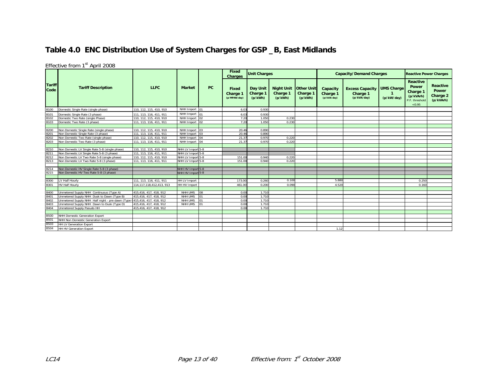### **Table 4.0 ENC Distribution Use of System Charges for GSP \_B, East Midlands**

|                       |                                                                                                                        |                              |                     |     | <b>Fixed</b><br><b>Charges</b>    | <b>Unit Charges</b>                    |                                                |                     |                                     | <b>Capacity/Demand Charges</b>                    |                                 | <b>Reactive Power Charges</b>                                                 |                                                   |
|-----------------------|------------------------------------------------------------------------------------------------------------------------|------------------------------|---------------------|-----|-----------------------------------|----------------------------------------|------------------------------------------------|---------------------|-------------------------------------|---------------------------------------------------|---------------------------------|-------------------------------------------------------------------------------|---------------------------------------------------|
| <b>Tariff</b><br>Code | <b>Tariff Description</b>                                                                                              | <b>LLFC</b>                  | <b>Market</b>       | PC  | Fixed<br>Charge 1<br>(p/MPAN/day) | Day Unit<br><b>Charge 1</b><br>(p/kWh) | Night Unit   Other Unit<br>Charge 1<br>(p/kWh) | Charge 1<br>(p/kWh) | Capacity<br>Charge 1<br>(p/kVA/day) | <b>Excess Capacity</b><br>Charge 1<br>(p/kVA/day) | <b>UMS Charge</b><br>(p/kW/day) | <b>Reactive</b><br>Power<br>Charge 1<br>(p/kVArh)<br>P.F. threshold<br>< 0.95 | Reactive<br><b>Power</b><br>Charge 2<br>(p/kVArh) |
| <b>B100</b>           | Domestic Single Rate (single phase)                                                                                    | 110, 112, 115, 410, 910      | NHH Import 01       |     | 6.03                              | 0.930                                  |                                                |                     |                                     |                                                   |                                 |                                                                               |                                                   |
| B101                  | Domestic Single Rate (3 phase)                                                                                         | 111, 113, 116, 411, 911      | NHH Import 101      |     | 6.03                              | 0.930                                  |                                                |                     |                                     |                                                   |                                 |                                                                               |                                                   |
| B102                  | Domestic Two Rate (single Phase)                                                                                       | 110, 112, 115, 410, 910      | NHH Import 02       |     | 7.20                              | 1.050                                  | 0.230                                          |                     |                                     |                                                   |                                 |                                                                               |                                                   |
| B103                  | Domestic Two Rate (3 phase)                                                                                            | 111, 113, 116, 411, 911      | NHH Import 02       |     | 7.20                              | 1.050                                  | 0.230                                          |                     |                                     |                                                   |                                 |                                                                               |                                                   |
|                       |                                                                                                                        |                              |                     |     |                                   |                                        |                                                |                     |                                     |                                                   |                                 |                                                                               |                                                   |
| <b>B200</b>           | Non Domestic Single Rate (single phase)                                                                                | 110, 112, 115, 410, 910      | NHH Import 03       |     | 20.46                             | 0.890                                  |                                                |                     |                                     |                                                   |                                 |                                                                               |                                                   |
| B201                  | Non Domestic Single Rate (3 phase)                                                                                     | 111, 113, 116, 411, 911      | NHH Import 03       |     | 20.46                             | 0.890                                  |                                                |                     |                                     |                                                   |                                 |                                                                               |                                                   |
| <b>B202</b>           | Non Domestic Two Rate (single phase)                                                                                   | 110, 112, 115, 410, 910      | NHH Import 04       |     | 21.37                             | 0.970                                  | 0.220                                          |                     |                                     |                                                   |                                 |                                                                               |                                                   |
| <b>B203</b>           | Non Domestic Two Rate (3 phase)                                                                                        | 111, 113, 116, 411, 911      | NHH Import 04       |     | 21.37                             | 0.970                                  | 0.220                                          |                     |                                     |                                                   |                                 |                                                                               |                                                   |
|                       |                                                                                                                        |                              |                     |     |                                   |                                        |                                                |                     |                                     |                                                   |                                 |                                                                               |                                                   |
| <b>B210</b>           | Non Domestic LV Single Rate 5-8 (single phase)                                                                         | 110, 112, 115, 410, 910      | NHH LV Import 5-8   |     |                                   |                                        |                                                |                     |                                     |                                                   |                                 |                                                                               |                                                   |
| <b>B211</b>           | Non Domestic LV Single Rate 5-8 (3 phase)                                                                              | 111, 113, 116, 411, 911      | NHH LV Import 5-8   |     |                                   |                                        |                                                |                     |                                     |                                                   |                                 |                                                                               |                                                   |
| B <sub>212</sub>      | Non Domestic LV Two Rate 5-8 (single phase)                                                                            | 110, 112, 115, 410, 910      | NHH LV Import 5-8   |     | 151.00                            | 0.940                                  | 0.220                                          |                     |                                     |                                                   |                                 |                                                                               |                                                   |
| <b>B213</b>           | Non Domestic LV Two Rate 5-8 (3 phase)                                                                                 | 111, 113, 116, 411, 911      | NHH LV Import 5-8   |     | 151.00                            | 0.940                                  | 0.220                                          |                     |                                     |                                                   |                                 |                                                                               |                                                   |
|                       |                                                                                                                        |                              |                     |     |                                   |                                        |                                                |                     |                                     |                                                   |                                 |                                                                               |                                                   |
| B214                  | Non Domestic HV Single Rate 5-8 (3 phase)                                                                              |                              | NHH HV Import 5-8   |     |                                   |                                        |                                                |                     |                                     |                                                   |                                 |                                                                               |                                                   |
| B215                  | Non Domestic HV Two Rate 5-8 (3 phase)                                                                                 |                              | NHH HV Import 5-8   |     |                                   |                                        |                                                |                     |                                     |                                                   |                                 |                                                                               |                                                   |
|                       |                                                                                                                        |                              |                     |     |                                   |                                        |                                                |                     |                                     |                                                   |                                 |                                                                               |                                                   |
| <b>B300</b>           | LV Half Hourly                                                                                                         | 111, 113, 116, 411, 911      | <b>HH LV Import</b> |     | 173.00                            | 0.260                                  | 0.100                                          |                     | 5.880                               |                                                   |                                 | 0.250                                                                         |                                                   |
| <b>B301</b>           | <b>HV Half Hourly</b>                                                                                                  | 114, 117, 118, 412, 413, 913 | HH HV Import        |     | 461.00                            | 0.200                                  | 0.090                                          |                     | 4.520                               |                                                   |                                 | 0.160                                                                         |                                                   |
|                       |                                                                                                                        |                              |                     |     |                                   | 1.710                                  |                                                |                     |                                     |                                                   |                                 |                                                                               |                                                   |
| <b>B400</b>           | Unmetered Supply NHH Continuous (Type A)                                                                               | 415.416.417.418.912          | NHH UMS             | 08  | 0.00                              |                                        |                                                |                     |                                     |                                                   |                                 |                                                                               |                                                   |
| B401                  | Unmetered Supply NHH Dusk to Dawn (Type B)                                                                             | 415,416, 417, 418, 912       | NHH UMS             |     | 0.00                              | 1.710                                  |                                                |                     |                                     |                                                   |                                 |                                                                               |                                                   |
| <b>B402</b><br>B403   | Unmetered Supply NHH Half night - pre dawn (Type 0415,416, 417, 418, 912<br>Unmetered Supply NHH Dawn to Dusk (Type D) | 415,416, 417, 418, 912       | NHH UMS<br>NHH UMS  | 101 | 0.00<br>0.00                      | 1.710<br>1.710                         |                                                |                     |                                     |                                                   |                                 |                                                                               |                                                   |
| B404                  |                                                                                                                        |                              |                     |     |                                   | 1.710                                  |                                                |                     |                                     |                                                   |                                 |                                                                               |                                                   |
|                       | <b>Unmetered Supply Pseudo HH</b>                                                                                      | 415,416, 417, 418, 912       |                     |     | 0.00                              |                                        |                                                |                     |                                     |                                                   |                                 |                                                                               |                                                   |
| <b>B500</b>           | NHH Domestic Generation Export                                                                                         |                              |                     |     |                                   |                                        |                                                |                     |                                     |                                                   |                                 |                                                                               |                                                   |
| <b>B501</b>           | NHH Non Domestic Generation Export                                                                                     |                              |                     |     |                                   |                                        |                                                |                     |                                     |                                                   |                                 |                                                                               |                                                   |
| <b>B503</b>           | <b>HH LV Generation Export</b>                                                                                         |                              |                     |     |                                   |                                        |                                                |                     |                                     |                                                   |                                 |                                                                               |                                                   |
| B504                  | <b>HH HV Generation Export</b>                                                                                         |                              |                     |     |                                   |                                        |                                                |                     | 1.12                                |                                                   |                                 |                                                                               |                                                   |
|                       |                                                                                                                        |                              |                     |     |                                   |                                        |                                                |                     |                                     |                                                   |                                 |                                                                               |                                                   |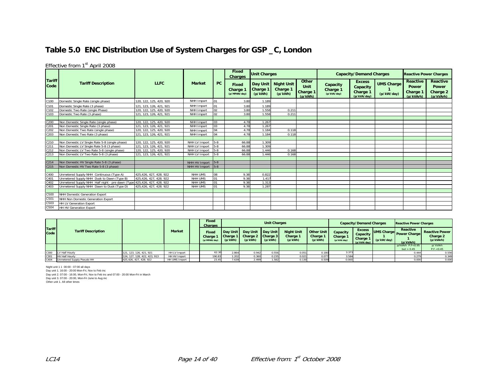### **Table 5.0 ENC Distribution Use of System Charges for GSP \_C, London**

#### Effective from 1st April 2008

|                       |                                                  |                         |                   |         | <b>Fixed</b><br><b>Charges</b>    | <b>Unit Charges</b> |                                            |                                      |                                     | <b>Capacity/Demand Charges</b>                              |                                 | <b>Reactive Power Charges</b>                            |                                                          |
|-----------------------|--------------------------------------------------|-------------------------|-------------------|---------|-----------------------------------|---------------------|--------------------------------------------|--------------------------------------|-------------------------------------|-------------------------------------------------------------|---------------------------------|----------------------------------------------------------|----------------------------------------------------------|
| <b>Tariff</b><br>Code | <b>Tariff Description</b>                        | <b>LLFC</b>             | <b>Market</b>     | PC      | Fixed<br>Charge 1<br>(p/MPAN/day) | Charge 1<br>(p/kWh) | Day Unit Night Unit<br>Charge 1<br>(p/kWh) | Other<br>Unit<br>Charge 1<br>(p/kWh) | Capacity<br>Charge 1<br>(p/kVA/day) | <b>Excess</b><br>Capacity<br><b>Charge 1</b><br>(p/kVA/day) | <b>UMS Charge</b><br>(p/kW/day) | <b>Reactive</b><br><b>Power</b><br>Charge 1<br>(p/kVArh) | <b>Reactive</b><br><b>Power</b><br>Charge 2<br>(p/kVArh) |
| C100                  | Domestic Single Rate (single phase)              | 120, 122, 125, 420, 920 | NHH Import        | 01      | 3.80                              | 1.189               |                                            |                                      |                                     |                                                             |                                 |                                                          |                                                          |
| C101                  | Domestic Single Rate (3 phase)                   | 121, 123, 126, 421, 921 | NHH Import        | 01      | 3.80                              | 1.189               |                                            |                                      |                                     |                                                             |                                 |                                                          |                                                          |
| C102                  | Domestic Two Rate (single Phase)                 | 120, 122, 125, 420, 920 | NHH Import        | 02      | 3.80                              | 1.558               | 0.211                                      |                                      |                                     |                                                             |                                 |                                                          |                                                          |
| C103                  | Domestic Two Rate (3 phase)                      | 121, 123, 126, 421, 921 | NHH Import        | 02      | 3.80                              | 1.558               | 0.211                                      |                                      |                                     |                                                             |                                 |                                                          |                                                          |
|                       |                                                  |                         |                   |         |                                   |                     |                                            |                                      |                                     |                                                             |                                 |                                                          |                                                          |
| C200                  | Non Domestic Single Rate (single phase)          | 120, 122, 125, 420, 920 | NHH Import        | 03      | 4.78                              | 1.267               |                                            |                                      |                                     |                                                             |                                 |                                                          |                                                          |
| C201                  | Non Domestic Single Rate (3 phase)               | 121, 123, 126, 421, 921 | NHH Import        | 03      | 4.78                              | 1.267               |                                            |                                      |                                     |                                                             |                                 |                                                          |                                                          |
| C <sub>202</sub>      | Non Domestic Two Rate (single phase)             | 120, 122, 125, 420, 920 | NHH Import        | 04      | 4.78                              | 1.184               | 0.118                                      |                                      |                                     |                                                             |                                 |                                                          |                                                          |
| C203                  | Non Domestic Two Rate (3 phase)                  | 121. 123. 126. 421. 921 | NHH Import        | 04      | 4.78                              | 1.184               | 0.118                                      |                                      |                                     |                                                             |                                 |                                                          |                                                          |
|                       |                                                  |                         |                   |         |                                   |                     |                                            |                                      |                                     |                                                             |                                 |                                                          |                                                          |
| C210                  | Non Domestic LV Single Rate 5-8 (single phase)   | 120, 122, 125, 420, 920 | NHH LV Import     | $15-8$  | 66.88                             | 1.309               |                                            |                                      |                                     |                                                             |                                 |                                                          |                                                          |
| C <sub>211</sub>      | Non Domestic LV Single Rate 5-8 (3 phase)        | 121, 123, 126, 421, 921 | NHH LV Import     | $5 - 8$ | 66.88                             | 1.309               |                                            |                                      |                                     |                                                             |                                 |                                                          |                                                          |
| C <sub>212</sub>      | Non Domestic LV Two Rate 5-8 (single phase)      | 120, 122, 125, 420, 920 | NHH LV Import     | $5 - 8$ | 66.88                             | 1.446               | 0.168                                      |                                      |                                     |                                                             |                                 |                                                          |                                                          |
| C213                  | Non Domestic LV Two Rate 5-8 (3 phase)           | 121, 123, 126, 421, 921 | NHH LV Import     | $5-8$   | 66.88                             | 1.446               | 0.168                                      |                                      |                                     |                                                             |                                 |                                                          |                                                          |
|                       |                                                  |                         |                   |         |                                   |                     |                                            |                                      |                                     |                                                             |                                 |                                                          |                                                          |
| C <sub>214</sub>      | Non Domestic HV Single Rate 5-8 (3 phase)        |                         | NHH HV Import 5-8 |         |                                   |                     |                                            |                                      |                                     |                                                             |                                 |                                                          |                                                          |
| C <sub>215</sub>      | Non Domestic HV Two Rate 5-8 (3 phase)           |                         | NHH HV Import 5-8 |         |                                   |                     |                                            |                                      |                                     |                                                             |                                 |                                                          |                                                          |
|                       |                                                  |                         |                   |         |                                   |                     |                                            |                                      |                                     |                                                             |                                 |                                                          |                                                          |
| C400                  | Unmetered Supply NHH Continuous (Type A)         | 425,426, 427, 428. 922  | NHH UMS           | 08      | 9.38                              | 0.822               |                                            |                                      |                                     |                                                             |                                 |                                                          |                                                          |
| C401                  | Unmetered Supply NHH Dusk to Dawn (Type B)       | 425,426, 427, 428. 922  | NHH UMS           | 01      | 9.38                              | 1.41                |                                            |                                      |                                     |                                                             |                                 |                                                          |                                                          |
| C402                  | Unmetered Supply NHH Half night - pre dawn (Type | 425,426, 427, 428. 922  | NHH UMS           | 01      | 9.38                              | 1.313               |                                            |                                      |                                     |                                                             |                                 |                                                          |                                                          |
| C403                  | Unmetered Supply NHH Dawn to Dusk (Type D)       | 425,426, 427, 428. 922  | NHH UMS           |         | 9.38                              | 1.287               |                                            |                                      |                                     |                                                             |                                 |                                                          |                                                          |
|                       |                                                  |                         |                   |         |                                   |                     |                                            |                                      |                                     |                                                             |                                 |                                                          |                                                          |
| C500                  | NHH Domestic Generation Export                   |                         |                   |         |                                   |                     |                                            |                                      |                                     |                                                             |                                 |                                                          |                                                          |
| C501                  | NHH Non Domestic Generation Export               |                         |                   |         |                                   |                     |                                            |                                      |                                     |                                                             |                                 |                                                          |                                                          |
| C503                  | <b>HH LV Generation Export</b>                   |                         |                   |         |                                   |                     |                                            |                                      |                                     |                                                             |                                 |                                                          |                                                          |
| C504                  | <b>HH HV Generation Export</b>                   |                         |                   |         |                                   |                     |                                            |                                      |                                     |                                                             |                                 |                                                          |                                                          |

| <b>Tariff</b> |                            |                             |               | Fixed<br><b>Charges</b>           |                                 |                                                   | <b>Unit Charges</b> |                                          |                                          |                                     | <b>Capacity/Demand Charges</b>                       |            | <b>Reactive Power Charges</b>                             |                                                |
|---------------|----------------------------|-----------------------------|---------------|-----------------------------------|---------------------------------|---------------------------------------------------|---------------------|------------------------------------------|------------------------------------------|-------------------------------------|------------------------------------------------------|------------|-----------------------------------------------------------|------------------------------------------------|
| Code          | <b>Tariff Description</b>  |                             | <b>Market</b> | Fixed<br>Charge 1<br>(p/MPAN/day) | Day Unit<br>Charge 1<br>(p/kWh) | Day Unit Day Unit<br>Charge 2 Charge 3<br>(p/kWh) | (p/kWh)             | <b>Night Unit</b><br>Charge 1<br>(p/kWh) | <b>Other Unit</b><br>Charge 1<br>(p/kWh) | Capacity<br>Charge 1<br>(p/kVA/day) | <b>Excess</b><br>Capacity<br>Charge 1<br>(p/kVA/day) | (p/kW/day) | Reactive<br><b>UMS Charge Power Charge I</b><br>(p/kVArh) | <b>Reactive Power</b><br>Charge 2<br>(p/kVArh) |
|               |                            |                             |               |                                   |                                 |                                                   |                     |                                          |                                          |                                     |                                                      |            | $p/kVArh$ P.F $< 0.95$<br>but $> 0.45$                    | p/ kVArh<br>P.F. < 0.45                        |
| C300          | LV Half Hourly             | 121, 123, 126, 421, 921     | HH LV Import  | 62.30                             | 2.864                           | 0.942                                             | 0.556               | 0.051                                    | 0.180                                    | 3.373                               |                                                      |            | 0.444                                                     | 0.556                                          |
| C301          | HV Half Hourly             | 24. 127. 128. 422. 423. 913 | HH HV Import  | 190.83                            | 202                             | 0.360                                             | 0.235               | 0.021                                    | 0.077                                    | $3.58 -$                            |                                                      |            | 0.279                                                     | 0.349                                          |
| C404          | Unmetered Supply Pseudo HH | 425,426, 427, 428. 922      | HH UMS Import | 23.45                             | 7.639                           | 2.499                                             | 1.582               | 0.130                                    | 0.509                                    | 0.000                               |                                                      |            | 0.000                                                     | 0.000                                          |

Night unit 1 1 00:00 - 07:00 all days Day unit 1. 16:00 - 20:00 Mon-Fri, Nov to Feb inc Day unit 2. 07:00 - 16:00, Mon-Fri, Nov to Feb inc and 07:00 - 20:00 Mon-Fri in March Day unit 3. 07:00 - 20:00, Mon-Fri June to Aug inc Other unit 1. All other times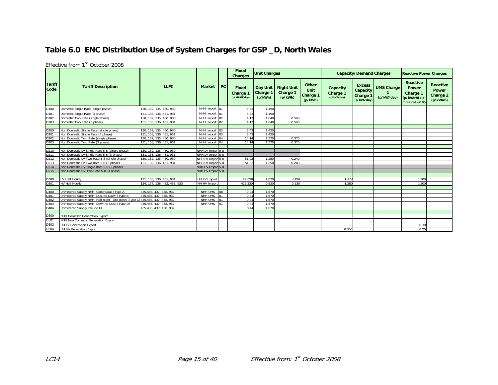### **Table 6.0 ENC Distribution Use of System Charges for GSP \_D, North Wales**

Effective from 1st October 2008

|                       |                                                                             |                              |                             |             | <b>Fixed</b><br><b>Charges</b>           | <b>Unit Charges</b>                    |                                          |                                      |                                     | <b>Capacity/Demand Charges</b>                              |                                 | <b>Reactive Power Charges</b>                                               |                                                          |
|-----------------------|-----------------------------------------------------------------------------|------------------------------|-----------------------------|-------------|------------------------------------------|----------------------------------------|------------------------------------------|--------------------------------------|-------------------------------------|-------------------------------------------------------------|---------------------------------|-----------------------------------------------------------------------------|----------------------------------------------------------|
| <b>Tariff</b><br>Code | <b>Tariff Description</b>                                                   | <b>LLFC</b>                  | <b>Market</b>               | <b>PC</b>   | <b>Fixed</b><br>Charge 1<br>(p/MPAN/day) | Day Unit<br><b>Charge 1</b><br>(p/kWh) | <b>Night Unit</b><br>Charge 1<br>(p/kWh) | Other<br>Unit<br>Charge 1<br>(p/kWh) | Capacity<br>Charge 1<br>(p/kVA/day) | <b>Excess</b><br>Capacity<br><b>Charge 1</b><br>(p/kVA/day) | <b>UMS Charge</b><br>(p/kW/day) | Reactive<br><b>Power</b><br>Charge 1<br>(p/kVArh) P.F<br>threshold $< 0.95$ | <b>Reactive</b><br><b>Power</b><br>Charge 2<br>(p/kVArh) |
| D100                  | Domestic Single Rate (single phase)                                         | 130, 132, 135, 430. 930      | NHH Import 01               |             | 3.63                                     | 1.490                                  |                                          |                                      |                                     |                                                             |                                 |                                                                             |                                                          |
| D101                  | Domestic Single Rate (3 phase)                                              | 131, 133, 136, 431, 931      | NHH Import 01               |             | 3.63                                     | 1.490                                  |                                          |                                      |                                     |                                                             |                                 |                                                                             |                                                          |
| D102                  | Domestic Two Rate (single Phase)                                            | 130, 132, 135, 430. 930      | NHH Import 02               |             | 4.17                                     | 1.640                                  | 0.540                                    |                                      |                                     |                                                             |                                 |                                                                             |                                                          |
| D103                  | Domestic Two Rate (3 phase)                                                 | 131, 133, 136, 431, 931      | NHH Import 02               |             | 4.17                                     | 1.640                                  | 0.540                                    |                                      |                                     |                                                             |                                 |                                                                             |                                                          |
|                       |                                                                             |                              |                             |             |                                          |                                        |                                          |                                      |                                     |                                                             |                                 |                                                                             |                                                          |
| D200                  | Non Domestic Single Rate (single phase)                                     | 130, 132, 135, 430, 930      | NHH Import 03               |             | 8.43                                     | 1.420                                  |                                          |                                      |                                     |                                                             |                                 |                                                                             |                                                          |
| D201                  | Non Domestic Single Rate (3 phase)                                          | 131, 133, 136, 431, 931      | NHH Import 03               |             | 8.43                                     | 1.420                                  |                                          |                                      |                                     |                                                             |                                 |                                                                             |                                                          |
| D <sub>202</sub>      | Non Domestic Two Rate (single phase)                                        | 130, 132, 135, 430, 930      | NHH Import 04               |             | 14.14                                    | 1.570                                  | 0.370                                    |                                      |                                     |                                                             |                                 |                                                                             |                                                          |
| D203                  | Non Domestic Two Rate (3 phase)                                             | 131, 133, 136, 431, 931      | NHH Import 04               |             | 14.14                                    | 1.570                                  | 0.370                                    |                                      |                                     |                                                             |                                 |                                                                             |                                                          |
|                       |                                                                             |                              |                             |             |                                          |                                        |                                          |                                      |                                     |                                                             |                                 |                                                                             |                                                          |
| D210                  | Non Domestic LV Single Rate 5-8 (single phase)                              | 130, 132, 135, 430, 930      | NHH LV Import 5-8           |             |                                          |                                        |                                          |                                      |                                     |                                                             |                                 |                                                                             |                                                          |
| D211                  | Non Domestic LV Single Rate 5-8 (3 phase)                                   | 131, 133, 136, 431, 931      | NHH LV Import 5-8           |             |                                          |                                        |                                          |                                      |                                     |                                                             |                                 |                                                                             |                                                          |
| D212                  | Non Domestic LV Two Rate 5-8 (single phase)                                 | 130, 132, 135, 430, 930      | NHH LV Import 5-8           |             | 51.02                                    | 1.250                                  | 0.240                                    |                                      |                                     |                                                             |                                 |                                                                             |                                                          |
| D213                  | Non Domestic LV Two Rate 5-8 (3 phase)                                      | 131, 133, 136, 431, 931      | NHH LV Import 5-8           |             | 51.02                                    | 1.25                                   | 0.240                                    |                                      |                                     |                                                             |                                 |                                                                             |                                                          |
| D214                  | Non Domestic HV Single Rate 5-8 (3 phase)                                   |                              | NHH HV Impor <sup>5-8</sup> |             |                                          |                                        |                                          |                                      |                                     |                                                             |                                 |                                                                             |                                                          |
| D215                  | Non Domestic HV Two Rate 5-8 (3 phase)                                      |                              | NHH HV Import 5-8           |             |                                          |                                        |                                          |                                      |                                     |                                                             |                                 |                                                                             |                                                          |
|                       |                                                                             |                              |                             |             |                                          |                                        |                                          |                                      |                                     |                                                             |                                 |                                                                             |                                                          |
| D300                  | LV Half Hourly                                                              | 131, 133, 136, 431, 931      | <b>HH LV Import</b>         |             | 29.050                                   | 1.070                                  | 0.190                                    |                                      | 1.370                               |                                                             |                                 | 0.300                                                                       |                                                          |
| D301                  | <b>HV Half Hourly</b>                                                       | 134, 137, 138, 432, 433, 933 | HH HV Import                |             | 413.330                                  | 0.830                                  | 0.130                                    |                                      | 1.28                                |                                                             |                                 | 0.200                                                                       |                                                          |
|                       |                                                                             |                              |                             |             |                                          |                                        |                                          |                                      |                                     |                                                             |                                 |                                                                             |                                                          |
| D400                  | Unmetered Supply NHH Continuous (Type A)                                    | 435.436, 437, 438, 932       | NHH UMS                     | $\sqrt{08}$ | 0.44                                     | 1.670                                  |                                          |                                      |                                     |                                                             |                                 |                                                                             |                                                          |
| D401                  | Unmetered Supply NHH Dusk to Dawn (Type B)                                  | 435,436, 437, 438, 932       | NHH UMS                     | 01          | 0.44                                     | 1.670                                  |                                          |                                      |                                     |                                                             |                                 |                                                                             |                                                          |
| D402                  | Unmetered Supply NHH Half night - pre dawn (Type C) 435, 436, 437, 438, 932 |                              | NHH UMS                     | 01          | 0.44                                     | 1.670                                  |                                          |                                      |                                     |                                                             |                                 |                                                                             |                                                          |
| D403                  | Unmetered Supply NHH Dawn to Dusk (Type D)                                  | 435.436, 437, 438, 932       | NHH UMS                     | 01          | 0.44                                     | 1.670                                  |                                          |                                      |                                     |                                                             |                                 |                                                                             |                                                          |
| D404                  | Unmetered Supply Pseudo HH                                                  | 435,436, 437, 438, 932       |                             |             | 0.44                                     | 1.670                                  |                                          |                                      |                                     |                                                             |                                 |                                                                             |                                                          |
|                       |                                                                             |                              |                             |             |                                          |                                        |                                          |                                      |                                     |                                                             |                                 |                                                                             |                                                          |
| D500                  | NHH Domestic Generation Export                                              |                              |                             |             |                                          |                                        |                                          |                                      |                                     |                                                             |                                 |                                                                             |                                                          |
| D501                  | NHH Non Domestic Generation Export                                          |                              |                             |             |                                          |                                        |                                          |                                      |                                     |                                                             |                                 |                                                                             |                                                          |
| D503                  | <b>HH LV Generation Export</b>                                              |                              |                             |             |                                          |                                        |                                          |                                      |                                     |                                                             |                                 | 0.30                                                                        |                                                          |
| D504                  | <b>HH HV Generation Export</b>                                              |                              |                             |             |                                          |                                        |                                          |                                      | 0.300                               |                                                             |                                 | 0.20                                                                        |                                                          |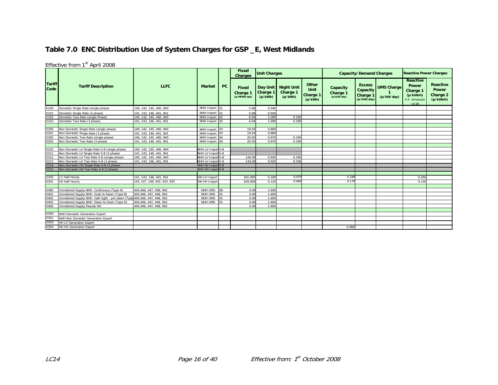### **Table 7.0 ENC Distribution Use of System Charges for GSP \_E, West Midlands**

|                       |                                                                         |                              |                     |           | Fixed<br><b>Charges</b>                  | <b>Unit Charges</b> |                                            |                                      | <b>Capacity/Demand Charges</b>      |                                                    |                                 | <b>Reactive Power Charges</b>                                                        |                                                          |
|-----------------------|-------------------------------------------------------------------------|------------------------------|---------------------|-----------|------------------------------------------|---------------------|--------------------------------------------|--------------------------------------|-------------------------------------|----------------------------------------------------|---------------------------------|--------------------------------------------------------------------------------------|----------------------------------------------------------|
| <b>Tariff</b><br>Code | <b>Tariff Description</b>                                               | <b>LLFC</b>                  | <b>Market</b>       | <b>PC</b> | <b>Fixed</b><br>Charge 1<br>(p/MPAN/day) | Charge 1<br>(p/kWh) | Day Unit Night Unit<br>Charge 1<br>(p/kWh) | Other<br>Unit<br>Charge 1<br>(p/kWh) | Capacity<br>Charge 1<br>(p/kVA/day) | <b>Excess</b><br>Capacity<br>Charge<br>(p/kVA/day) | <b>UMS Charge</b><br>(p/kW/day) | <b>Reactive</b><br><b>Power</b><br>Charge 1<br>(p/kVArh)<br>P.F. threshold<br>< 0.95 | <b>Reactive</b><br><b>Power</b><br>Charge 2<br>(p/kVArh) |
| E100                  | Domestic Single Rate (single phase)                                     | 140. 142. 145. 440. 940      | NHH Import 01       |           | 5.88                                     | 0.940               |                                            |                                      |                                     |                                                    |                                 |                                                                                      |                                                          |
| E101                  | Domestic Single Rate (3 phase)                                          | 141, 143, 146, 441, 941      | NHH Import 01       |           | 5.88                                     | 0.940               |                                            |                                      |                                     |                                                    |                                 |                                                                                      |                                                          |
| E102                  | Domestic Two Rate (single Phase)                                        | 140. 142. 145. 440. 940      | NHH Import 02       |           | 6.94                                     | 1.090               | 0.190                                      |                                      |                                     |                                                    |                                 |                                                                                      |                                                          |
| E103                  | Domestic Two Rate (3 phase)                                             | 141, 143, 146, 441, 941      | NHH Import 02       |           | 6.94                                     | 1.090               | 0.190                                      |                                      |                                     |                                                    |                                 |                                                                                      |                                                          |
|                       |                                                                         |                              |                     |           |                                          |                     |                                            |                                      |                                     |                                                    |                                 |                                                                                      |                                                          |
| E200                  | Non Domestic Single Rate (single phase)                                 | 140, 142, 145, 440, 940      | NHH Import 03       |           | 19.54                                    | 0.860               |                                            |                                      |                                     |                                                    |                                 |                                                                                      |                                                          |
| E201                  | Non Domestic Single Rate (3 phase)                                      | 141, 143, 146, 441, 941      | NHH Import 03       |           | 19.54                                    | 0.860               |                                            |                                      |                                     |                                                    |                                 |                                                                                      |                                                          |
| E202                  | Non Domestic Two Rate (single phase)                                    | 140, 142, 145, 440, 940      | NHH Import 04       |           | 20.50                                    | 0.970               | 0.190                                      |                                      |                                     |                                                    |                                 |                                                                                      |                                                          |
| E203                  | Non Domestic Two Rate (3 phase)                                         | 141, 143, 146, 441, 941      | NHH Import 04       |           | 20.50                                    | 0.970               | 0.190                                      |                                      |                                     |                                                    |                                 |                                                                                      |                                                          |
|                       |                                                                         |                              |                     |           |                                          |                     |                                            |                                      |                                     |                                                    |                                 |                                                                                      |                                                          |
| E210                  | Non Domestic LV Single Rate 5-8 (single phase)                          | 140, 142, 145, 440, 940      | NHH LV Import 5-8   |           |                                          |                     |                                            |                                      |                                     |                                                    |                                 |                                                                                      |                                                          |
| E211                  | Non Domestic LV Single Rate 5-8 (3 phase)                               | 141. 143. 146. 441. 941      | NHH LV Import 5-8   |           |                                          |                     |                                            |                                      |                                     |                                                    |                                 |                                                                                      |                                                          |
| E212                  | Non Domestic LV Two Rate 5-8 (single phase)                             | 140, 142, 145, 440, 940      | NHH LV Import 5-8   |           | 144.00                                   | 0.920               | 0.190                                      |                                      |                                     |                                                    |                                 |                                                                                      |                                                          |
| E213                  | Non Domestic LV Two Rate 5-8 (3 phase)                                  | 141, 143, 146, 441, 941      | NHH LV Import 5-8   |           | 144.00                                   | 0.920               | 0.190                                      |                                      |                                     |                                                    |                                 |                                                                                      |                                                          |
| E214                  | Non Domestic HV Single Rate 5-8 (3 phase)                               |                              | NHH HV Impor 5-8    |           |                                          |                     |                                            |                                      |                                     |                                                    |                                 |                                                                                      |                                                          |
| E215                  | Non Domestic HV Two Rate 5-8 (3 phase)                                  |                              | NHH HV Impor 5-8    |           |                                          |                     |                                            |                                      |                                     |                                                    |                                 |                                                                                      |                                                          |
|                       |                                                                         |                              |                     |           |                                          |                     |                                            |                                      |                                     |                                                    |                                 |                                                                                      |                                                          |
| E300                  | LV Half Hourly                                                          | 141, 143, 146, 441, 941      | <b>HH LV Import</b> |           | 161.000                                  | 0.180               | 0.070                                      |                                      | 5.190                               |                                                    |                                 | 0.260                                                                                |                                                          |
| E301                  | <b>HV Half Hourly</b>                                                   | 144, 147, 148, 442, 443, 943 | HH HV Import        |           | 429.000                                  | 0.120               | 0.060                                      |                                      | 4.170                               |                                                    |                                 | 0.130                                                                                |                                                          |
|                       |                                                                         |                              |                     |           |                                          |                     |                                            |                                      |                                     |                                                    |                                 |                                                                                      |                                                          |
| E400                  | Unmetered Supply NHH Continuous (Type A)                                | 445,446, 447, 448, 942       | NHH UMS             | 08        | 0.00                                     | 1.600               |                                            |                                      |                                     |                                                    |                                 |                                                                                      |                                                          |
| E401                  | Unmetered Supply NHH Dusk to Dawn (Type B)                              | 445,446, 447, 448, 942       | NHH UMS             | 01        | 0.00                                     | 1.600               |                                            |                                      |                                     |                                                    |                                 |                                                                                      |                                                          |
| E402                  | Unmetered Supply NHH Half night - pre dawn (Type 445,446, 447, 448, 942 |                              | NHH UMS             | 01        | 0.00                                     | 1.600               |                                            |                                      |                                     |                                                    |                                 |                                                                                      |                                                          |
| E403                  | Unmetered Supply NHH Dawn to Dusk (Type D)                              | 445,446, 447, 448, 942       | NHH UMS             | 01        | 0.00                                     | 1.600               |                                            |                                      |                                     |                                                    |                                 |                                                                                      |                                                          |
| E404                  | Unmetered Supply Pseudo HH                                              | 445.446.447.448.942          |                     |           | 0.00                                     | 1.600               |                                            |                                      |                                     |                                                    |                                 |                                                                                      |                                                          |
|                       |                                                                         |                              |                     |           |                                          |                     |                                            |                                      |                                     |                                                    |                                 |                                                                                      |                                                          |
| E500                  | <b>NHH Domestic Generation Export</b>                                   |                              |                     |           |                                          |                     |                                            |                                      |                                     |                                                    |                                 |                                                                                      |                                                          |
| E501                  | NHH Non Domestic Generation Export                                      |                              |                     |           |                                          |                     |                                            |                                      |                                     |                                                    |                                 |                                                                                      |                                                          |
| E503                  | <b>HH LV Generation Export</b>                                          |                              |                     |           |                                          |                     |                                            |                                      |                                     |                                                    |                                 |                                                                                      |                                                          |
| E504                  | <b>HH HV Generation Export</b>                                          |                              |                     |           |                                          |                     |                                            |                                      | 0.900                               |                                                    |                                 |                                                                                      |                                                          |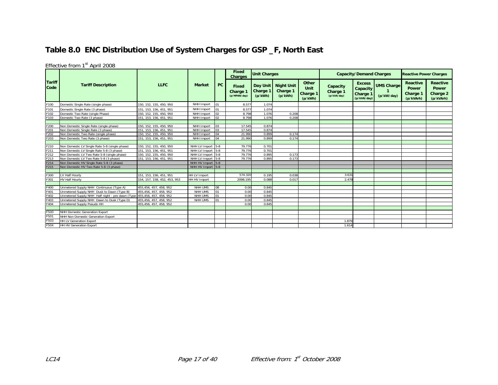### **Table 8.0 ENC Distribution Use of System Charges for GSP \_F, North East**

|                       |                                                                         |                              |                     |              | <b>Fixed</b><br><b>Charges</b>    | <b>Unit Charges</b>             |                                          |                                             |                                     | <b>Capacity/Demand Charges</b>                       |                                 | <b>Reactive Power Charges</b>                     |                                                          |
|-----------------------|-------------------------------------------------------------------------|------------------------------|---------------------|--------------|-----------------------------------|---------------------------------|------------------------------------------|---------------------------------------------|-------------------------------------|------------------------------------------------------|---------------------------------|---------------------------------------------------|----------------------------------------------------------|
| <b>Tariff</b><br>Code | <b>Tariff Description</b>                                               | <b>LLFC</b>                  | <b>Market</b>       | PC           | Fixed<br>Charge 1<br>(p/MPAN/day) | Day Unit<br>Charge 1<br>(p/kWh) | <b>Night Unit</b><br>Charge 1<br>(p/kWh) | Other<br><b>Unit</b><br>Charge 1<br>(p/kWh) | Capacity<br>Charge 1<br>(p/kVA/day) | <b>Excess</b><br>Capacity<br>Charge 1<br>(p/kVA/day) | <b>UMS Charge</b><br>(p/kW/day) | <b>Reactive</b><br>Power<br>Charge 1<br>(p/kVArh) | <b>Reactive</b><br><b>Power</b><br>Charge 2<br>(p/kVArh) |
| F100                  | Domestic Single Rate (single phase)                                     | 150, 152, 155, 450, 950      | NHH Import          | lo1          | 8.577                             | 1.074                           |                                          |                                             |                                     |                                                      |                                 |                                                   |                                                          |
| F101                  | Domestic Single Rate (3 phase)                                          | 151, 153, 156, 451, 951      | NHH Import          |              | 8.577                             | 1.074                           |                                          |                                             |                                     |                                                      |                                 |                                                   |                                                          |
| F102                  | Domestic Two Rate (single Phase)                                        | 150, 152, 155, 450, 950      | NHH Import          | $ 02\rangle$ | 8.798                             | 1.076                           | 0.208                                    |                                             |                                     |                                                      |                                 |                                                   |                                                          |
| F103                  | Domestic Two Rate (3 phase)                                             | 151, 153, 156, 451, 951      | NHH Import          | 02           | 8.798                             | 1.076                           | 0.208                                    |                                             |                                     |                                                      |                                 |                                                   |                                                          |
|                       |                                                                         |                              |                     |              |                                   |                                 |                                          |                                             |                                     |                                                      |                                 |                                                   |                                                          |
| F200                  | Non Domestic Single Rate (single phase)                                 | 150, 152, 155, 450, 950      | NHH Import          | 103          | 17.545                            | 0.874                           |                                          |                                             |                                     |                                                      |                                 |                                                   |                                                          |
| F201                  | Non Domestic Single Rate (3 phase)                                      | 151, 153, 156, 451, 951      | NHH Import          | 03           | 17.545                            | 0.874                           |                                          |                                             |                                     |                                                      |                                 |                                                   |                                                          |
| F202                  | Non Domestic Two Rate (single phase)                                    | 150, 152, 155, 450, 950      | NHH Import          | 04           | 21.990                            | 0.899                           | 0.174                                    |                                             |                                     |                                                      |                                 |                                                   |                                                          |
| F203                  | Non Domestic Two Rate (3 phase)                                         | 151, 153, 156, 451, 951      | NHH Import          | 04           | 21.990                            | 0.899                           | 0.174                                    |                                             |                                     |                                                      |                                 |                                                   |                                                          |
|                       |                                                                         |                              |                     |              |                                   |                                 |                                          |                                             |                                     |                                                      |                                 |                                                   |                                                          |
| F210                  | Non Domestic LV Single Rate 5-8 (single phase)                          | 150, 152, 155, 450, 950      | NHH LV Import 5-8   |              | 79.776                            | 0.701                           |                                          |                                             |                                     |                                                      |                                 |                                                   |                                                          |
| F211                  | Non Domestic LV Single Rate 5-8 (3 phase)                               | 151, 153, 156, 451, 951      | NHH LV Import 5-8   |              | 79.776                            | 0.701                           |                                          |                                             |                                     |                                                      |                                 |                                                   |                                                          |
| F212                  | Non Domestic LV Two Rate 5-8 (single phase)                             | 150, 152, 155, 450, 950      | NHH LV Import 5-8   |              | 79.776                            | 0.895                           | 0.173                                    |                                             |                                     |                                                      |                                 |                                                   |                                                          |
| F213                  | Non Domestic LV Two Rate 5-8 (3 phase)                                  | 151, 153, 156, 451, 951      | NHH LV Import 5-8   |              | 79.776                            | 0.895                           | 0.173                                    |                                             |                                     |                                                      |                                 |                                                   |                                                          |
| F214                  | Non Domestic HV Single Rate 5-8 (3 phase)                               |                              | NHH HV Import 5-8   |              |                                   |                                 |                                          |                                             |                                     |                                                      |                                 |                                                   |                                                          |
| F215                  | Non Domestic HV Two Rate 5-8 (3 phase)                                  |                              | NHH HV Import 5-8   |              |                                   |                                 |                                          |                                             |                                     |                                                      |                                 |                                                   |                                                          |
|                       |                                                                         |                              |                     |              |                                   |                                 |                                          |                                             |                                     |                                                      |                                 |                                                   |                                                          |
| F300                  | LV Half Hourly                                                          | 151, 153, 156, 451, 951      | <b>HH LV Import</b> |              | 574.320                           | 0.195                           | 0.038                                    |                                             | 3.631                               |                                                      |                                 |                                                   |                                                          |
| F301                  | <b>HV Half Hourly</b>                                                   | 154, 157, 158, 452, 453, 953 | HH HV Import        |              | 2098.195                          | 0.088                           | 0.017                                    |                                             | 2.478                               |                                                      |                                 |                                                   |                                                          |
|                       |                                                                         |                              |                     |              |                                   |                                 |                                          |                                             |                                     |                                                      |                                 |                                                   |                                                          |
| F400                  | Unmetered Supply NHH Continuous (Type A)                                | 455,456, 457, 458, 952       | NHH UMS             | 08           | 0.00                              | 0.845                           |                                          |                                             |                                     |                                                      |                                 |                                                   |                                                          |
| F401                  | Unmetered Supply NHH Dusk to Dawn (Type B)                              | 455,456, 457, 458, 952       | NHH UMS             | 01           | 0.00                              | 0.845                           |                                          |                                             |                                     |                                                      |                                 |                                                   |                                                          |
| F402                  | Unmetered Supply NHH Half night - pre dawn (Type 455,456, 457, 458, 952 |                              | NHH UMS             | lo1          | 0.00                              | 0.845                           |                                          |                                             |                                     |                                                      |                                 |                                                   |                                                          |
| F403                  | Unmetered Supply NHH Dawn to Dusk (Type D)                              | 455,456, 457, 458, 952       | NHH UMS             | lo1          | 0.00                              | 0.845                           |                                          |                                             |                                     |                                                      |                                 |                                                   |                                                          |
| F404                  | Unmetered Supply Pseudo HH                                              | 455,456, 457, 458, 952       |                     |              | 0.00                              | 0.845                           |                                          |                                             |                                     |                                                      |                                 |                                                   |                                                          |
|                       |                                                                         |                              |                     |              |                                   |                                 |                                          |                                             |                                     |                                                      |                                 |                                                   |                                                          |
| F500                  | <b>NHH Domestic Generation Export</b>                                   |                              |                     |              |                                   |                                 |                                          |                                             |                                     |                                                      |                                 |                                                   |                                                          |
| F501                  | NHH Non Domestic Generation Export                                      |                              |                     |              |                                   |                                 |                                          |                                             |                                     |                                                      |                                 |                                                   |                                                          |
| F503                  | HH LV Generation Export                                                 |                              |                     |              |                                   |                                 |                                          |                                             | 1.879                               |                                                      |                                 |                                                   |                                                          |
| F504                  | <b>HH HV Generation Export</b>                                          |                              |                     |              |                                   |                                 |                                          |                                             | 1.614                               |                                                      |                                 |                                                   |                                                          |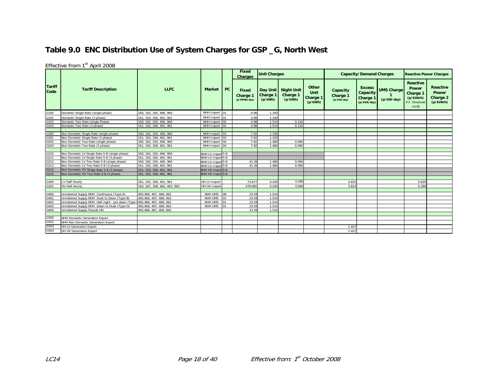### **Table 9.0 ENC Distribution Use of System Charges for GSP \_G, North West**

|                       |                                                  |                              |                   |           | Fixed<br><b>Charges</b>           | <b>Unit Charges</b> |                                            |                                      | <b>Capacity/Demand Charges</b>      |                                                                 | <b>Reactive Power Charges</b>   |                                                                        |                                                          |
|-----------------------|--------------------------------------------------|------------------------------|-------------------|-----------|-----------------------------------|---------------------|--------------------------------------------|--------------------------------------|-------------------------------------|-----------------------------------------------------------------|---------------------------------|------------------------------------------------------------------------|----------------------------------------------------------|
| <b>Tariff</b><br>Code | <b>Tariff Description</b>                        | <b>LLFC</b>                  | <b>Market</b>     | <b>PC</b> | Fixed<br>Charge 1<br>(p/MPAN/day) | Charge 1<br>(p/kWh) | Day Unit Night Unit<br>Charge 1<br>(p/kWh) | Other<br>Unit<br>Charge 1<br>(p/kWh) | Capacity<br>Charge 1<br>(p/kVA/day) | <b>Excess</b><br>Capacity<br>Charge <sup>1</sup><br>(p/kVA/day) | <b>UMS Charge</b><br>(p/kW/day) | Reactive<br>Power<br>Charge 1<br>(p/kVArh)<br>P.F. threshold<br>< 0.95 | <b>Reactive</b><br><b>Power</b><br>Charge 2<br>(p/kVArh) |
| G100                  | Domestic Single Rate (single phase)              | 160, 162, 165, 460, 960      | NHH Import 01     |           | 4.98                              | 1.340               |                                            |                                      |                                     |                                                                 |                                 |                                                                        |                                                          |
| G101                  | Domestic Single Rate (3 phase)                   | 161, 163, 166, 461, 961      | NHH Import 01     |           | 4.98                              | 1.340               |                                            |                                      |                                     |                                                                 |                                 |                                                                        |                                                          |
| G102                  | Domestic Two Rate (single Phase)                 | 160, 162, 165, 460, 960      | NHH Import 02     |           | 4.98                              | 1.510               | 0.120                                      |                                      |                                     |                                                                 |                                 |                                                                        |                                                          |
| G103                  | Domestic Two Rate (3 phase)                      | 161. 163. 166. 461. 961      | NHH Import 02     |           | 4.98                              | 1.510               | 0.120                                      |                                      |                                     |                                                                 |                                 |                                                                        |                                                          |
| G200                  | Non Domestic Single Rate (single phase)          | 160, 162, 165, 460, 960      | NHH Import 03     |           | 7.92                              | 1.330               |                                            |                                      |                                     |                                                                 |                                 |                                                                        |                                                          |
| G201                  | Non Domestic Single Rate (3 phase)               | 161, 163, 166, 461, 961      | NHH Import 03     |           | 7.92                              | 1.330               |                                            |                                      |                                     |                                                                 |                                 |                                                                        |                                                          |
| G202                  | Non Domestic Two Rate (single phase)             | 160, 162, 165, 460, 960      | NHH Import 04     |           | 7.92                              | 1.480               | 0.090                                      |                                      |                                     |                                                                 |                                 |                                                                        |                                                          |
| G203                  | Non Domestic Two Rate (3 phase)                  | 161, 163, 166, 461, 961      | NHH Import 04     |           | 7.92                              | 1.480               | 0.090                                      |                                      |                                     |                                                                 |                                 |                                                                        |                                                          |
|                       |                                                  |                              |                   |           |                                   |                     |                                            |                                      |                                     |                                                                 |                                 |                                                                        |                                                          |
| G210                  | Non Domestic LV Single Rate 5-8 (single phase)   | 160, 162, 165, 460, 960      | NHH LV Import 5-8 |           |                                   |                     |                                            |                                      |                                     |                                                                 |                                 |                                                                        |                                                          |
| G211                  | Non Domestic LV Single Rate 5-8 (3 phase)        | 161, 163, 166, 461, 961      | NHH LV Import 5-8 |           |                                   |                     |                                            |                                      |                                     |                                                                 |                                 |                                                                        |                                                          |
| G212                  | Non Domestic LV Two Rate 5-8 (single phase)      | 160, 162, 165, 460, 960      | NHH LV Import 5-8 |           | 41.26                             | 1.480               | 0.090                                      |                                      |                                     |                                                                 |                                 |                                                                        |                                                          |
| G213                  | Non Domestic LV Two Rate 5-8 (3 phase)           | 161, 163, 166, 461, 961      | NHH LV Import 5-8 |           | 41.26                             | 1.480               | 0.090                                      |                                      |                                     |                                                                 |                                 |                                                                        |                                                          |
| G214                  | Non Domestic HV Single Rate 5-8 (3 phase)        | 161, 163, 166, 461, 961      | NHH HV Impor 5-8  |           |                                   |                     |                                            |                                      |                                     |                                                                 |                                 |                                                                        |                                                          |
| G215                  | Non Domestic HV Two Rate 5-8 (3 phase)           | 161, 163, 166, 461, 961      | NHH HV Import 5-8 |           |                                   |                     |                                            |                                      |                                     |                                                                 |                                 |                                                                        |                                                          |
| G300                  | LV Half Hourly                                   | 161, 163, 166, 461, 961      | HH LV Import      |           | 73.677                            | 0.430               | 0.090                                      |                                      | 4.833                               |                                                                 |                                 | 0.620                                                                  |                                                          |
| G301                  | <b>HV Half Hourly</b>                            | 164, 167, 168, 462, 463, 963 | HH HV Import      |           | 478.685                           | 0.240               | 0.060                                      |                                      | 3.814                               |                                                                 |                                 | 0.280                                                                  |                                                          |
|                       |                                                  |                              |                   |           |                                   |                     |                                            |                                      |                                     |                                                                 |                                 |                                                                        |                                                          |
| G400                  | Unmetered Supply NHH Continuous (Type A)         | 465,466, 467, 468, 962       | NHH UMS           | 08        | 23.59                             | 1.510               |                                            |                                      |                                     |                                                                 |                                 |                                                                        |                                                          |
| G401                  | Unmetered Supply NHH Dusk to Dawn (Type B)       | 465.466.467.468.962          | NHH UMS           | 01        | 23.59                             | 1.510               |                                            |                                      |                                     |                                                                 |                                 |                                                                        |                                                          |
| G402                  | Unmetered Supply NHH Half night - pre dawn (Type | (465,466, 467, 468, 962)     | NHH UMS           | 101       | 23.59                             | 1.510               |                                            |                                      |                                     |                                                                 |                                 |                                                                        |                                                          |
| G403                  | Unmetered Supply NHH Dawn to Dusk (Type D)       | 465,466, 467, 468, 962       | NHH UMS           |           | 23.59                             | 1.510               |                                            |                                      |                                     |                                                                 |                                 |                                                                        |                                                          |
| G404                  | Unmetered Supply Pseudo HH                       | 465,466, 467, 468, 962       |                   |           | 23.59                             | 1.510               |                                            |                                      |                                     |                                                                 |                                 |                                                                        |                                                          |
|                       |                                                  |                              |                   |           |                                   |                     |                                            |                                      |                                     |                                                                 |                                 |                                                                        |                                                          |
| G500                  | NHH Domestic Generation Export                   |                              |                   |           |                                   |                     |                                            |                                      |                                     |                                                                 |                                 |                                                                        |                                                          |
| G501                  | NHH Non Domestic Generation Export               |                              |                   |           |                                   |                     |                                            |                                      |                                     |                                                                 |                                 |                                                                        |                                                          |
| G503                  | <b>HH LV Generation Export</b>                   |                              |                   |           |                                   |                     |                                            |                                      | 1.427                               |                                                                 |                                 |                                                                        |                                                          |
| G504                  | <b>HH HV Generation Export</b>                   |                              |                   |           |                                   |                     |                                            |                                      | 1.427                               |                                                                 |                                 |                                                                        |                                                          |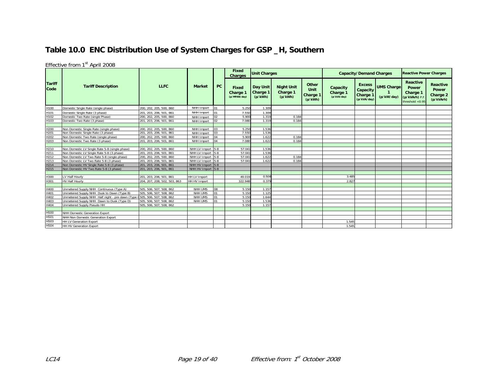### **Table 10.0 ENC Distribution Use of System Charges for GSP \_H, Southern**

|                       |                                                                           |                              |                     |           | <b>Fixed</b><br><b>Charges</b>           | <b>Unit Charges</b>             |                                          |                                      |                                     | <b>Capacity/Demand Charges</b>                       | <b>Reactive Power Charges</b>   |                                                                              |                                                          |
|-----------------------|---------------------------------------------------------------------------|------------------------------|---------------------|-----------|------------------------------------------|---------------------------------|------------------------------------------|--------------------------------------|-------------------------------------|------------------------------------------------------|---------------------------------|------------------------------------------------------------------------------|----------------------------------------------------------|
| <b>Tariff</b><br>Code | <b>Tariff Description</b>                                                 | <b>LLFC</b>                  | <b>Market</b>       | <b>PC</b> | <b>Fixed</b><br>Charge 1<br>(p/MPAN/dav) | Day Unit<br>Charge 1<br>(p/kWh) | <b>Night Unit</b><br>Charge 1<br>(p/kWh) | Other<br>Unit<br>Charge 1<br>(p/kWh) | Capacity<br>Charge 1<br>(p/kVA/day) | <b>Excess</b><br>Capacity<br>Charge 1<br>(p/kVA/day) | <b>UMS Charge</b><br>(p/kW/day) | <b>Reactive</b><br>Power<br>Charge 1<br>(p/kVArh) P.F.<br>threshold $< 0.95$ | Reactive<br><b>Power</b><br><b>Charge 2</b><br>(p/kVArh) |
| H100                  | Domestic Single Rate (single phase)                                       | 200, 202, 205, 500, 860      | NHH Import          | 01        | 5.250                                    | 1.309                           |                                          |                                      |                                     |                                                      |                                 |                                                                              |                                                          |
| H101                  | Domestic Single Rate (3 phase)                                            | 201, 203, 206, 501, 861      | NHH Import          | 01        | 7.550                                    | 1.309                           |                                          |                                      |                                     |                                                      |                                 |                                                                              |                                                          |
| H <sub>102</sub>      | Domestic Two Rate (single Phase)                                          | 200, 202, 205, 500, 860      | NHH Import          | 02        | 5.900                                    | 1.319                           | 0.184                                    |                                      |                                     |                                                      |                                 |                                                                              |                                                          |
| H103                  | Domestic Two Rate (3 phase)                                               | 201, 203, 206, 501, 861      | NHH Import          | 02        | 7.080                                    | 1.319                           | 0.184                                    |                                      |                                     |                                                      |                                 |                                                                              |                                                          |
|                       |                                                                           |                              |                     |           |                                          |                                 |                                          |                                      |                                     |                                                      |                                 |                                                                              |                                                          |
| H200                  | Non Domestic Single Rate (single phase)                                   | 200, 202, 205, 500, 860      | NHH Import          | 03        | 5.250                                    | 1.536                           |                                          |                                      |                                     |                                                      |                                 |                                                                              |                                                          |
| H <sub>201</sub>      | Von Domestic Single Rate (3 phase)                                        | 201, 203, 206, 501, 861      | NHH Import          | 03        | 7.550                                    | 1.536                           |                                          |                                      |                                     |                                                      |                                 |                                                                              |                                                          |
| H202                  | Von Domestic Two Rate (single phase)                                      | 200, 202, 205, 500, 860      | NHH Import          | 04        | 5.900                                    | 1.622                           | 0.184                                    |                                      |                                     |                                                      |                                 |                                                                              |                                                          |
| H203                  | Non Domestic Two Rate (3 phase)                                           | 201, 203, 206, 501, 861      | NHH Import          | 04        | 7.080                                    | 1.622                           | 0.184                                    |                                      |                                     |                                                      |                                 |                                                                              |                                                          |
|                       |                                                                           |                              |                     |           |                                          |                                 |                                          |                                      |                                     |                                                      |                                 |                                                                              |                                                          |
| H210                  | Von Domestic LV Single Rate 5-8 (single phase)                            | 200, 202, 205, 500, 860      | NHH LV Import 5-8   |           | 57.041                                   | 1.536                           |                                          |                                      |                                     |                                                      |                                 |                                                                              |                                                          |
| H <sub>211</sub>      | Non Domestic LV Single Rate 5-8 (3 phase)                                 | 201, 203, 206, 501, 861      | NHH LV Import 5-8   |           | 57.041                                   | 1.536                           |                                          |                                      |                                     |                                                      |                                 |                                                                              |                                                          |
| H212                  | Non Domestic LV Two Rate 5-8 (single phase)                               | 200, 202, 205, 500, 860      | NHH LV Import 5-8   |           | 57.041                                   | 1.622                           | 0.184                                    |                                      |                                     |                                                      |                                 |                                                                              |                                                          |
| H213                  | Non Domestic LV Two Rate 5-8 (3 phase)                                    | 201, 203, 206, 501, 861      | NHH LV Import 5-8   |           | 57.041                                   | 1.622                           | 0.184                                    |                                      |                                     |                                                      |                                 |                                                                              |                                                          |
| H <sub>2</sub> 14     | Non Domestic HV Single Rate 5-8 (3 phase)                                 | 201, 203, 206, 501, 861      | NHH HV Import 5-8   |           |                                          |                                 |                                          |                                      |                                     |                                                      |                                 |                                                                              |                                                          |
| H <sub>215</sub>      | Non Domestic HV Two Rate 5-8 (3 phase)                                    | 201, 203, 206, 501, 861      | NHH HV Import 5-8   |           |                                          |                                 |                                          |                                      |                                     |                                                      |                                 |                                                                              |                                                          |
|                       |                                                                           |                              |                     |           |                                          |                                 |                                          |                                      |                                     |                                                      |                                 |                                                                              |                                                          |
| H300                  | LV Half Hourly                                                            | 201, 203, 206, 501, 861      | <b>HH LV Import</b> |           | 49.019                                   | 0.508                           |                                          |                                      | 3.485                               |                                                      |                                 |                                                                              |                                                          |
| H301                  | <b>HV Half Hourly</b>                                                     | 204, 207, 208, 502, 503, 863 | HH HV Import        |           | 322.948                                  | 0.37                            |                                          |                                      | 2.827                               |                                                      |                                 |                                                                              |                                                          |
|                       |                                                                           |                              |                     |           |                                          |                                 |                                          |                                      |                                     |                                                      |                                 |                                                                              |                                                          |
| H400                  | Unmetered Supply NHH Continuous (Type A)                                  | 505, 506, 507, 508, 862      | NHH UMS             | 08        | 5.150                                    | 1.157                           |                                          |                                      |                                     |                                                      |                                 |                                                                              |                                                          |
| H401                  | Jnmetered Supply NHH Dusk to Dawn (Type B)                                | 505, 506, 507, 508, 862      | <b>NHH UMS</b>      | 01        | 5.150                                    | 1.125                           |                                          |                                      |                                     |                                                      |                                 |                                                                              |                                                          |
| H402                  | Jnmetered Supply NHH Half night - pre dawn (Type 0505, 506, 507, 508, 862 |                              | <b>NHH UMS</b>      | 01        | 5.150                                    | 1.644                           |                                          |                                      |                                     |                                                      |                                 |                                                                              |                                                          |
| H403                  | Jnmetered Supply NHH Dawn to Dusk (Type D)                                | 505, 506, 507, 508, 862      | NHH UMS             | 01        | 5.150                                    | 1.536                           |                                          |                                      |                                     |                                                      |                                 |                                                                              |                                                          |
| H404                  | <b>Jnmetered Supply Pseudo HH</b>                                         | 505, 506, 507, 508, 862      |                     |           | 5.150                                    | 1.157                           |                                          |                                      |                                     |                                                      |                                 |                                                                              |                                                          |
|                       |                                                                           |                              |                     |           |                                          |                                 |                                          |                                      |                                     |                                                      |                                 |                                                                              |                                                          |
| H500                  | <b>NHH Domestic Generation Export</b>                                     |                              |                     |           |                                          |                                 |                                          |                                      |                                     |                                                      |                                 |                                                                              |                                                          |
| H <sub>501</sub>      | NHH Non Domestic Generation Export                                        |                              |                     |           |                                          |                                 |                                          |                                      |                                     |                                                      |                                 |                                                                              |                                                          |
| H <sub>503</sub>      | <b>HH LV Generation Export</b>                                            |                              |                     |           |                                          |                                 |                                          |                                      | 1.545                               |                                                      |                                 |                                                                              |                                                          |
| H504                  | <b>HH HV Generation Export</b>                                            |                              |                     |           |                                          |                                 |                                          |                                      | 1.545                               |                                                      |                                 |                                                                              |                                                          |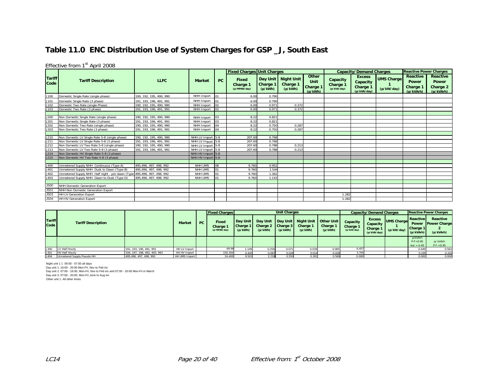### **Table 11.0 ENC Distribution Use of System Charges for GSP \_J, South East**

#### Effective from 1st April 2008

|                       |                                                  |                         |                   |                 | <b>Fixed Charges Unit Charges</b>        |                     |                                            |                                      |                                     | <b>Capacity/Demand Charges</b>                       |                                 | <b>Reactive Power Charges</b>                     |                                                   |
|-----------------------|--------------------------------------------------|-------------------------|-------------------|-----------------|------------------------------------------|---------------------|--------------------------------------------|--------------------------------------|-------------------------------------|------------------------------------------------------|---------------------------------|---------------------------------------------------|---------------------------------------------------|
| <b>Tariff</b><br>Code | <b>Tariff Description</b>                        | <b>LLFC</b>             | <b>Market</b>     | <b>PC</b>       | <b>Fixed</b><br>Charge 1<br>(p/MPAN/day) | Charge 1<br>(p/kWh) | Day Unit Night Unit<br>Charge 1<br>(p/kWh) | Other<br>Unit<br>Charge 1<br>(p/kWh) | Capacity<br>Charge 1<br>(p/kVA/day) | <b>Excess</b><br>Capacity<br>Charge 1<br>(p/kVA/day) | <b>UMS Charge</b><br>(p/kW/day) | <b>Reactive</b><br>Power<br>Charge 1<br>(p/kVArh) | Reactive<br><b>Power</b><br>Charge 2<br>(p/kVArh) |
| J100                  | Domestic Single Rate (single phase)              | 190, 192, 195, 490, 990 | NHH Import        | 01              | 6.00                                     | 0.790               |                                            |                                      |                                     |                                                      |                                 |                                                   |                                                   |
| J101                  | Domestic Single Rate (3 phase)                   | 191, 193, 196, 491, 991 | NHH Import        |                 | 6.00                                     | 0.790               |                                            |                                      |                                     |                                                      |                                 |                                                   |                                                   |
| J102                  | Domestic Two Rate (single Phase)                 | 190, 192, 195, 490, 990 | NHH Import        | 102             | 6.00                                     | 0.971               | 0.372                                      |                                      |                                     |                                                      |                                 |                                                   |                                                   |
| J103                  | Domestic Two Rate (3 phase)                      | 191, 193, 196, 491, 991 | NHH Import        | 10 <sup>2</sup> | 6.00                                     | 0.971               | 0.372                                      |                                      |                                     |                                                      |                                 |                                                   |                                                   |
|                       |                                                  |                         |                   |                 |                                          |                     |                                            |                                      |                                     |                                                      |                                 |                                                   |                                                   |
| J200                  | Non Domestic Single Rate (single phase)          | 190, 192, 195, 490, 990 | NHH Import        | 03              | 8.22                                     | 0.821               |                                            |                                      |                                     |                                                      |                                 |                                                   |                                                   |
| J201                  | Non Domestic Single Rate (3 phase)               | 191. 193. 196. 491. 991 | NHH Import        | $\sqrt{0.3}$    | 8.22                                     | 0.821               |                                            |                                      |                                     |                                                      |                                 |                                                   |                                                   |
| J202                  | Non Domestic Two Rate (single phase)             | 190, 192, 195, 490, 990 | NHH Import        | 04              | 8.22                                     | 0.750               | 0.287                                      |                                      |                                     |                                                      |                                 |                                                   |                                                   |
| J203                  | Non Domestic Two Rate (3 phase)                  | 191, 193, 196, 491, 991 | NHH Import        |                 | 8.22                                     | 0.750               | 0.287                                      |                                      |                                     |                                                      |                                 |                                                   |                                                   |
|                       |                                                  |                         |                   |                 |                                          |                     |                                            |                                      |                                     |                                                      |                                 |                                                   |                                                   |
| J210                  | Non Domestic LV Single Rate 5-8 (single phase)   | 190, 192, 195, 490, 990 | NHH LV Import 5-8 |                 | 207.60                                   | 0.768               |                                            |                                      |                                     |                                                      |                                 |                                                   |                                                   |
| J211                  | Non Domestic LV Single Rate 5-8 (3 phase)        | 191, 193, 196, 491, 991 | NHH LV Import 5-8 |                 | 207.60                                   | 0.768               |                                            |                                      |                                     |                                                      |                                 |                                                   |                                                   |
| J212                  | Non Domestic LV Two Rate 5-8 (single phase)      | 190, 192, 195, 490, 990 | NHH LV Import 5-8 |                 | 207.60                                   | 0.788               | 0.213                                      |                                      |                                     |                                                      |                                 |                                                   |                                                   |
| J213                  | Non Domestic LV Two Rate 5-8 (3 phase)           | 191, 193, 196, 491, 991 | NHH LV Import 5-8 |                 | 207.60                                   | 0.788               | 0.213                                      |                                      |                                     |                                                      |                                 |                                                   |                                                   |
| J214                  | Non Domestic HV Single Rate 5-8 (3 phase)        |                         | NHH HV Import 5-8 |                 |                                          |                     |                                            |                                      |                                     |                                                      |                                 |                                                   |                                                   |
| J215                  | Non Domestic HV Two Rate 5-8 (3 phase)           |                         | NHH HV Import 5-8 |                 |                                          |                     |                                            |                                      |                                     |                                                      |                                 |                                                   |                                                   |
|                       |                                                  |                         |                   |                 |                                          |                     |                                            |                                      |                                     |                                                      |                                 |                                                   |                                                   |
| J400                  | Unmetered Supply NHH Continuous (Type A)         | 495.496.497.498.992     | NHH UMS           | 08              | 9.760                                    | 0.952               |                                            |                                      |                                     |                                                      |                                 |                                                   |                                                   |
| J401                  | Unmetered Supply NHH Dusk to Dawn (Type B)       | 495.496.497.498.992     | NHH UMS           | lo <sub>1</sub> | 9.760                                    | 1.544               |                                            |                                      |                                     |                                                      |                                 |                                                   |                                                   |
| J402                  | Unmetered Supply NHH Half night - pre dawn (Type | 495,496, 497, 498, 992  | NHH UMS           |                 | 9.760                                    | 1.362               |                                            |                                      |                                     |                                                      |                                 |                                                   |                                                   |
| J403                  | Unmetered Supply NHH Dawn to Dusk (Type D)       | 495.496, 497, 498, 992  | NHH UMS           | 101             | 9.760                                    | 1.143               |                                            |                                      |                                     |                                                      |                                 |                                                   |                                                   |
|                       |                                                  |                         |                   |                 |                                          |                     |                                            |                                      |                                     |                                                      |                                 |                                                   |                                                   |
| <b>J500</b>           | <b>NHH Domestic Generation Export</b>            |                         |                   |                 |                                          |                     |                                            |                                      |                                     |                                                      |                                 |                                                   |                                                   |
| J501                  | NHH Non Domestic Generation Export               |                         |                   |                 |                                          |                     |                                            |                                      |                                     |                                                      |                                 |                                                   |                                                   |
| <b>J503</b>           | <b>HH LV Generation Export</b>                   |                         |                   |                 |                                          |                     |                                            |                                      | 1.282                               |                                                      |                                 |                                                   |                                                   |
| J504                  | <b>HH HV Generation Export</b>                   |                         |                   |                 |                                          |                     |                                            |                                      | 1.282                               |                                                      |                                 |                                                   |                                                   |

|                       |                            |                              |               |     | <b>Fixed Charges</b>                     |                     |                              | <b>Unit Charges</b> |                                                                         |                     |                                     | <b>Capacity/Demand Charges</b>                       |                                 |                                                   | <b>Reactive Power Charges</b>                |
|-----------------------|----------------------------|------------------------------|---------------|-----|------------------------------------------|---------------------|------------------------------|---------------------|-------------------------------------------------------------------------|---------------------|-------------------------------------|------------------------------------------------------|---------------------------------|---------------------------------------------------|----------------------------------------------|
| <b>Tariff</b><br>Code | <b>Tariff Description</b>  |                              | <b>Market</b> | PC. | <b>Fixed</b><br>Charge 1<br>(p/MPAN/day) | Charge 1<br>(p/kWh) | Charge 2 Charge 3<br>(p/kWh) | (p/kWh)             | Day Unit Day Unit Day Unit Night Unit Other Unit<br>Charge 1<br>(p/kWh) | Charge 1<br>(p/kWh) | Capacity<br>Charge 1<br>(p/kVA/day) | <b>Excess</b><br>Capacity<br>Charge 1<br>(p/kVA/day) | <b>UMS Charge</b><br>(p/kW/day) | Reactive<br><b>Power</b><br>Charge 1<br>(p/kVArh) | Reactive<br><b>Power Charge</b><br>(p/kVArh) |
|                       |                            |                              |               |     |                                          |                     |                              |                     |                                                                         |                     |                                     |                                                      |                                 | p/kVArh<br>P.F < 0.95<br>but $> 0.45$             | p/ kVArh<br>P.F. < 0.45                      |
| J300                  | LV Half Hourly             | 191, 193, 196, 491, 991      | HH LV Import  |     | 69.98                                    | 1.149               | 0.256                        | 0.07                | 0.039                                                                   | 0.065               | 6.457                               |                                                      |                                 | 0.449                                             | 0.562                                        |
| J301                  | HV Half Hourly             | 194, 197, 198, 492, 493, 993 | HH HV Import  |     | 150.300                                  | 0.445               | 0.087                        | 0.028               | 0.014                                                                   | 0.028               | 3.705                               |                                                      |                                 | 0.195                                             | 0.243                                        |
| J404                  | Unmetered Supply Pseudo HH | 495.496, 497, 498, 992       | HH UMS Import |     | 24.400                                   | 9.501               | 2.218                        | 0.550               | 0.301                                                                   | 0.569               | 0.000                               |                                                      |                                 | 0.000                                             | 0.000                                        |

Night unit 1 1 00:00 - 07:00 all days

Day unit 1. 16:00 - 20:00 Mon-Fri, Nov to Feb inc Day unit 2. 07:00 - 16:00, Mon-Fri, Nov to Feb inc and 07:00 - 20:00 Mon-Fri in March Day unit 3. 07:00 - 20:00, Mon-Fri June to Aug inc

Other unit 1. All other times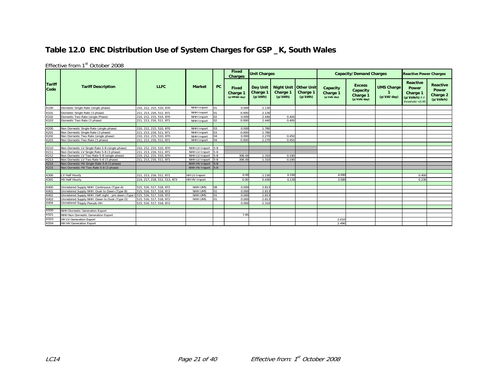# **Table 12.0 ENC Distribution Use of System Charges for GSP \_K, South Wales**

Effective from 1st October 2008

|                       |                                                  |                              |                   |         | <b>Fixed</b><br><b>Charges</b>           | <b>Unit Charges</b> |                                                       |                     | <b>Capacity/Demand Charges</b>      |                                                      |                                 | <b>Reactive Power Charges</b>                                               |                                                   |
|-----------------------|--------------------------------------------------|------------------------------|-------------------|---------|------------------------------------------|---------------------|-------------------------------------------------------|---------------------|-------------------------------------|------------------------------------------------------|---------------------------------|-----------------------------------------------------------------------------|---------------------------------------------------|
| <b>Tariff</b><br>Code | <b>Tariff Description</b>                        | <b>LLFC</b>                  | <b>Market</b>     | PC      | <b>Fixed</b><br>Charge 1<br>(p/MPAN/day) | Charge 1<br>(p/kWh) | Day Unit Night Unit Other Unit<br>Charge 1<br>(p/kWh) | Charge 1<br>(p/kWh) | Capacity<br>Charge 1<br>(p/kVA/day) | <b>Excess</b><br>Capacity<br>Charge 1<br>(p/kVA/day) | <b>UMS Charge</b><br>(p/kW/day) | <b>Reactive</b><br>Power<br>Charge 1<br>(p/kVArh) P.F<br>threshold $< 0.95$ | <b>Reactive</b><br>Power<br>Charge 2<br>(p/kVArh) |
| K100                  | Domestic Single Rate (single phase)              | 210, 212, 215, 510, 870      | NHH Import        | 01      | 0.000                                    | 2.130               |                                                       |                     |                                     |                                                      |                                 |                                                                             |                                                   |
| K101                  | Domestic Single Rate (3 phase)                   | 211, 213, 216, 511, 871      | NHH Import        | 01      | 0.000                                    | 2.130               |                                                       |                     |                                     |                                                      |                                 |                                                                             |                                                   |
| K102                  | Domestic Two Rate (single Phase)                 | 210. 212. 215. 510. 870      | NHH Import        | 02      | 0.000                                    | 2.440               | 0.400                                                 |                     |                                     |                                                      |                                 |                                                                             |                                                   |
| K103                  | Domestic Two Rate (3 phase)                      | 211, 213, 216, 511, 871      | NHH Import        | 02      | 0.000                                    | 2.440               | 0.400                                                 |                     |                                     |                                                      |                                 |                                                                             |                                                   |
|                       |                                                  |                              |                   |         |                                          |                     |                                                       |                     |                                     |                                                      |                                 |                                                                             |                                                   |
| K200                  | Non Domestic Single Rate (single phase)          | 210, 212, 215, 510, 870      | NHH Import        | 03      | 0.000                                    | 1.780               |                                                       |                     |                                     |                                                      |                                 |                                                                             |                                                   |
| K201                  | Non Domestic Single Rate (3 phase)               | 211, 213, 216, 511, 871      | NHH Import        | 03      | 0.000                                    | 1.780               |                                                       |                     |                                     |                                                      |                                 |                                                                             |                                                   |
| K202                  | Non Domestic Two Rate (single phase)             | 210, 212, 215, 510, 870      | NHH Import        | 04      | 0.000                                    | 2.270               | 0.450                                                 |                     |                                     |                                                      |                                 |                                                                             |                                                   |
| K203                  | Non Domestic Two Rate (3 phase)                  | 211, 213, 216, 511, 871      | NHH Import        | 04      | 0.000                                    | 2.270               | 0.450                                                 |                     |                                     |                                                      |                                 |                                                                             |                                                   |
|                       |                                                  |                              |                   |         |                                          |                     |                                                       |                     |                                     |                                                      |                                 |                                                                             |                                                   |
| K210                  | Non Domestic LV Single Rate 5-8 (single phase)   | 210, 212, 215, 510, 870      | NHH LV Import     | $5-8$   |                                          |                     |                                                       |                     |                                     |                                                      |                                 |                                                                             |                                                   |
| K211                  | Non Domestic LV Single Rate 5-8 (3 phase)        | 211, 213, 216, 511, 871      | NHH LV Import     | $5 - 8$ |                                          |                     |                                                       |                     |                                     |                                                      |                                 |                                                                             |                                                   |
| K212                  | Non Domestic LV Two Rate 5-8 (single phase)      | 210, 212, 215, 510, 870      | NHH LV Import     | $5 - 8$ | 306.00                                   | 1.310               | 0.190                                                 |                     |                                     |                                                      |                                 |                                                                             |                                                   |
| K213                  | Non Domestic LV Two Rate 5-8 (3 phase)           | 211, 213, 216, 511, 871      | NHH LV Import 5-8 |         | 306.00                                   | 1.310               | 0.190                                                 |                     |                                     |                                                      |                                 |                                                                             |                                                   |
| K214                  | Non Domestic HV Single Rate 5-8 (3 phase)        |                              | NHH HV Import 5-8 |         |                                          |                     |                                                       |                     |                                     |                                                      |                                 |                                                                             |                                                   |
| K215                  | Non Domestic HV Two Rate 5-8 (3 phase)           |                              | NHH HV Import 5-8 |         |                                          |                     |                                                       |                     |                                     |                                                      |                                 |                                                                             |                                                   |
|                       |                                                  |                              |                   |         |                                          |                     |                                                       |                     |                                     |                                                      |                                 |                                                                             |                                                   |
| K300                  | LV Half Hourly                                   | 211, 213, 216, 511, 871      | HH LV Import      |         | 0.00                                     | 1.130               | 0.190                                                 |                     | 4.090                               |                                                      |                                 | 0.400                                                                       |                                                   |
| K301                  | <b>HV Half Hourly</b>                            | 214. 217. 218. 512. 513. 873 | HH HV Import      |         | 0.00                                     | 0.430               | 0.130                                                 |                     | 3.580                               |                                                      |                                 | 0.230                                                                       |                                                   |
|                       |                                                  |                              |                   |         |                                          |                     |                                                       |                     |                                     |                                                      |                                 |                                                                             |                                                   |
| K400                  | Unmetered Supply NHH Continuous (Type A)         | 515, 516, 517, 518, 872      | NHH UMS           | 08      | 0.000                                    | 2.813               |                                                       |                     |                                     |                                                      |                                 |                                                                             |                                                   |
| K401                  | Unmetered Supply NHH Dusk to Dawn (Type B)       | 515. 516. 517. 518. 872      | NHH UMS           | 01      | 0.000                                    | 2.813               |                                                       |                     |                                     |                                                      |                                 |                                                                             |                                                   |
| K402                  | Unmetered Supply NHH Half night - pre dawn (Type | Q515, 516, 517, 518, 872     | NHH UMS           | 01      | 0.000                                    | 2.813               |                                                       |                     |                                     |                                                      |                                 |                                                                             |                                                   |
| K403                  | Unmetered Supply NHH Dawn to Dusk (Type D)       | 515, 516, 517, 518, 872      | NHH UMS           | 01      | 0.000                                    | 2.813               |                                                       |                     |                                     |                                                      |                                 |                                                                             |                                                   |
| K404                  | Unmetered Supply Pseudo HH                       | 515, 516, 517, 518, 872      |                   |         | 0.000                                    | 2.310               |                                                       |                     |                                     |                                                      |                                 |                                                                             |                                                   |
|                       |                                                  |                              |                   |         |                                          |                     |                                                       |                     |                                     |                                                      |                                 |                                                                             |                                                   |
| K500                  | NHH Domestic Generation Export                   |                              |                   |         |                                          |                     |                                                       |                     |                                     |                                                      |                                 |                                                                             |                                                   |
| K501                  | NHH Non Domestic Generation Export               |                              |                   |         | 7.85                                     |                     |                                                       |                     |                                     |                                                      |                                 |                                                                             |                                                   |
| K503                  | <b>HH LV Generation Export</b>                   |                              |                   |         |                                          |                     |                                                       |                     | 2.010                               |                                                      |                                 |                                                                             |                                                   |
| K504                  | <b>HH HV Generation Export</b>                   |                              |                   |         |                                          |                     |                                                       |                     | 2.490                               |                                                      |                                 |                                                                             |                                                   |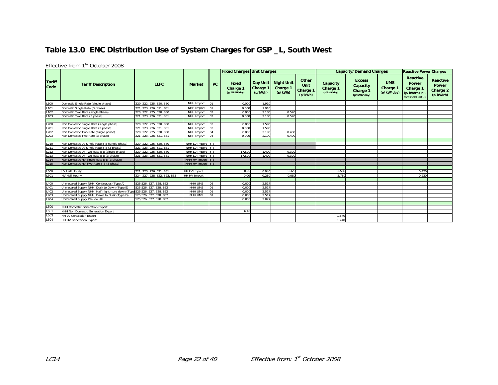### **Table 13.0 ENC Distribution Use of System Charges for GSP \_L, South West**

Effective from 1st October 2008

|                       |                                                                         |                              |                     |            | <b>Fixed Charges Unit Charges</b>        |                     |                                            |                                             | <b>Capacity/Demand Charges</b>      |                                                      |                                      | <b>Reactive Power Charges</b>                                                      |                                            |
|-----------------------|-------------------------------------------------------------------------|------------------------------|---------------------|------------|------------------------------------------|---------------------|--------------------------------------------|---------------------------------------------|-------------------------------------|------------------------------------------------------|--------------------------------------|------------------------------------------------------------------------------------|--------------------------------------------|
| <b>Tariff</b><br>Code | <b>Tariff Description</b>                                               | <b>LLFC</b>                  | <b>Market</b>       | PC.        | <b>Fixed</b><br>Charge 1<br>(p/MPAN/day) | Charge 1<br>(p/kWh) | Day Unit Night Unit<br>Charge 1<br>(p/kWh) | Other<br>Unit<br><b>Charge 1</b><br>(p/kWh) | Capacity<br>Charge 1<br>(p/kVA/day) | <b>Excess</b><br>Capacity<br>Charge 1<br>(p/kVA/day) | <b>UMS</b><br>Charge 1<br>(p/kW/day) | <b>Reactive</b><br><b>Power</b><br>Charge 1<br>(p/kVArh) P.F<br>threshold $< 0.95$ | Reactive<br>Power<br>Charge 2<br>(p/kVArh) |
| L100                  | Domestic Single Rate (single phase)                                     | 220, 222, 225, 520, 880      | NHH Import          | 01         | 0.000                                    | 1.910               |                                            |                                             |                                     |                                                      |                                      |                                                                                    |                                            |
| L101                  | Domestic Single Rate (3 phase)                                          | 221, 223, 226, 521, 881      | NHH Import          | $^{\circ}$ | 0.000                                    | 1.910               |                                            |                                             |                                     |                                                      |                                      |                                                                                    |                                            |
| L <sub>102</sub>      | Domestic Two Rate (single Phase)                                        | 220, 222, 225, 520, 880      | NHH Import          | 02         | 0.000                                    | 2.180               | 0.520                                      |                                             |                                     |                                                      |                                      |                                                                                    |                                            |
| L <sub>103</sub>      | Domestic Two Rate (3 phase)                                             | 221, 223, 226, 521, 881      | NHH Import          | 02         | 0.000                                    | 2.180               | 0.520                                      |                                             |                                     |                                                      |                                      |                                                                                    |                                            |
|                       |                                                                         |                              |                     |            |                                          |                     |                                            |                                             |                                     |                                                      |                                      |                                                                                    |                                            |
| L200                  | Non Domestic Single Rate (single phase)                                 | 220, 222, 225, 520, 880      | NHH Import          | 03         | 0.000                                    | 1.590               |                                            |                                             |                                     |                                                      |                                      |                                                                                    |                                            |
| L <sub>201</sub>      | Non Domestic Single Rate (3 phase)                                      | 221, 223, 226, 521, 881      | NHH Import          | 103        | 0.000                                    | 1.590               |                                            |                                             |                                     |                                                      |                                      |                                                                                    |                                            |
| L <sub>202</sub>      | Non Domestic Two Rate (single phase)                                    | 220, 222, 225, 520, 880      | NHH Import          | 04         | 0.000                                    | 2.190               | 0.400                                      |                                             |                                     |                                                      |                                      |                                                                                    |                                            |
| L203                  | Non Domestic Two Rate (3 phase)                                         | 221, 223, 226, 521, 881      | NHH Import          | 04         | 0.000                                    | 2.190               | 0.400                                      |                                             |                                     |                                                      |                                      |                                                                                    |                                            |
|                       |                                                                         |                              |                     |            |                                          |                     |                                            |                                             |                                     |                                                      |                                      |                                                                                    |                                            |
| L210                  | Non Domestic LV Single Rate 5-8 (single phase)                          | 220, 222, 225, 520, 880      | NHH LV Import 5-8   |            |                                          |                     |                                            |                                             |                                     |                                                      |                                      |                                                                                    |                                            |
| L211                  | Non Domestic LV Single Rate 5-8 (3 phase)                               | 221, 223, 226, 521, 881      | NHH LV Import 5-8   |            |                                          |                     |                                            |                                             |                                     |                                                      |                                      |                                                                                    |                                            |
| L212                  | Non Domestic LV Two Rate 5-8 (single phase)                             | 220, 222, 225, 520, 880      | NHH LV Import 5-8   |            | 172.00                                   | 1.400               | 0.320                                      |                                             |                                     |                                                      |                                      |                                                                                    |                                            |
| L213                  | Non Domestic LV Two Rate 5-8 (3 phase)                                  | 221, 223, 226, 521, 881      | NHH LV Import 5-8   |            | 172.00                                   | 1.400               | 0.320                                      |                                             |                                     |                                                      |                                      |                                                                                    |                                            |
| L214                  | Non Domestic HV Single Rate 5-8 (3 phase)                               |                              | NHH HV Import 5-8   |            |                                          |                     |                                            |                                             |                                     |                                                      |                                      |                                                                                    |                                            |
| L215                  | Non Domestic HV Two Rate 5-8 (3 phase)                                  |                              | NHH HV Import 5-8   |            |                                          |                     |                                            |                                             |                                     |                                                      |                                      |                                                                                    |                                            |
|                       |                                                                         |                              |                     |            |                                          |                     |                                            |                                             |                                     |                                                      |                                      |                                                                                    |                                            |
| L300                  | LV Half Hourly                                                          | 221, 223, 226, 521, 881      | <b>HH LV Import</b> |            | 0.00                                     | 0.940               | 0.320                                      |                                             | 3.580                               |                                                      |                                      | 0.420                                                                              |                                            |
| L301                  | <b>HV Half Hourly</b>                                                   | 224, 227, 228, 522, 523, 883 | HH HV Import        |            | 0.00                                     | 0.280               | 0.080                                      |                                             | 3.780                               |                                                      |                                      | 0.230                                                                              |                                            |
|                       |                                                                         |                              |                     |            |                                          |                     |                                            |                                             |                                     |                                                      |                                      |                                                                                    |                                            |
| L400                  | Unmetered Supply NHH Continuous (Type A)                                | 525,526, 527, 528, 882       | NHH UMS             | 08         | 0.000                                    | 2.517               |                                            |                                             |                                     |                                                      |                                      |                                                                                    |                                            |
| L401                  | Unmetered Supply NHH Dusk to Dawn (Type B)                              | 525,526, 527, 528, 882       | NHH UMS             | 01         | 0.000                                    | 2.517               |                                            |                                             |                                     |                                                      |                                      |                                                                                    |                                            |
| L402                  | Unmetered Supply NHH Half night - pre dawn (Type 525,526, 527, 528, 882 |                              | NHH UMS             | 01         | 0.000                                    | 2.517               |                                            |                                             |                                     |                                                      |                                      |                                                                                    |                                            |
| L403                  | Unmetered Supply NHH Dawn to Dusk (Type D)                              | 525,526, 527, 528, 882       | NHH UMS             |            | 0.000                                    | 2.517               |                                            |                                             |                                     |                                                      |                                      |                                                                                    |                                            |
| L404                  | Unmetered Supply Pseudo HH                                              | 525,526, 527, 528, 882       |                     |            | 0.000                                    | 2.027               |                                            |                                             |                                     |                                                      |                                      |                                                                                    |                                            |
|                       |                                                                         |                              |                     |            |                                          |                     |                                            |                                             |                                     |                                                      |                                      |                                                                                    |                                            |
| L500                  | NHH Domestic Generation Export                                          |                              |                     |            |                                          |                     |                                            |                                             |                                     |                                                      |                                      |                                                                                    |                                            |
| L <sub>501</sub>      | NHH Non Domestic Generation Export                                      |                              |                     |            | 6.49                                     |                     |                                            |                                             |                                     |                                                      |                                      |                                                                                    |                                            |
| L503                  | <b>HH LV Generation Export</b>                                          |                              |                     |            |                                          |                     |                                            |                                             | 1.670                               |                                                      |                                      |                                                                                    |                                            |
| L <sub>504</sub>      | HH HV Generation Export                                                 |                              |                     |            |                                          |                     |                                            |                                             | 1.740                               |                                                      |                                      |                                                                                    |                                            |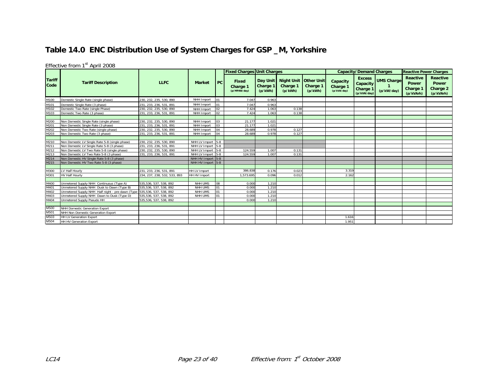### **Table 14.0 ENC Distribution Use of System Charges for GSP \_M, Yorkshire**

|                       |                                                  |                              |                   |                | <b>Fixed Charges Unit Charges</b> |                     |                                                       |                     |                                     | <b>Capacity/Demand Charges</b>                                  |                                 |                                                   | <b>Reactive Power Charges</b>              |
|-----------------------|--------------------------------------------------|------------------------------|-------------------|----------------|-----------------------------------|---------------------|-------------------------------------------------------|---------------------|-------------------------------------|-----------------------------------------------------------------|---------------------------------|---------------------------------------------------|--------------------------------------------|
| <b>Tariff</b><br>Code | <b>Tariff Description</b>                        | <b>LLFC</b>                  | <b>Market</b>     | PC             | Fixed<br>Charge 1<br>(p/MPAN/day) | Charge 1<br>(p/kWh) | Day Unit Night Unit Other Unit<br>Charge 1<br>(p/kWh) | Charge 1<br>(p/kWh) | Capacity<br>Charge 1<br>(p/kVA/day) | <b>Excess</b><br>Capacity<br>Charge <sup>1</sup><br>(p/kVA/day) | <b>UMS Charge</b><br>(p/kW/day) | <b>Reactive</b><br>Power<br>Charge 1<br>(p/kVArh) | Reactive<br>Power<br>Charge 2<br>(p/kVArh) |
| M100                  | Domestic Single Rate (single phase)              | 230, 232, 235, 530, 890      | NHH Import        | 01             | 7.047                             | 0.963               |                                                       |                     |                                     |                                                                 |                                 |                                                   |                                            |
| M101                  | Domestic Single Rate (3 phase)                   | 231, 233, 236, 531, 891      | NHH Import        | $\overline{1}$ | 7.047                             | 0.963               |                                                       |                     |                                     |                                                                 |                                 |                                                   |                                            |
| M102                  | Domestic Two Rate (single Phase)                 | 230, 232, 235, 530, 890      | NHH Import        | 02             | 7.424                             | 1.063               | 0.138                                                 |                     |                                     |                                                                 |                                 |                                                   |                                            |
| M103                  | Domestic Two Rate (3 phase)                      | 231, 233, 236, 531, 891      | NHH Import        | 02             | 7.424                             | 1.063               | 0.138                                                 |                     |                                     |                                                                 |                                 |                                                   |                                            |
|                       |                                                  |                              |                   |                |                                   |                     |                                                       |                     |                                     |                                                                 |                                 |                                                   |                                            |
| M200                  | Non Domestic Single Rate (single phase)          | 230, 232, 235, 530, 890      | NHH Import        | 03             | 21.177                            | 1.021               |                                                       |                     |                                     |                                                                 |                                 |                                                   |                                            |
| M201                  | Non Domestic Single Rate (3 phase)               | 231, 233, 236, 531, 891      | NHH Import        | 03             | 21.177                            | 1.021               |                                                       |                     |                                     |                                                                 |                                 |                                                   |                                            |
| M202                  | Non Domestic Two Rate (single phase)             | 230, 232, 235, 530, 890      | NHH Import        | 04             | 28.689                            | 0.978               | 0.127                                                 |                     |                                     |                                                                 |                                 |                                                   |                                            |
| M203                  | Non Domestic Two Rate (3 phase)                  | 231, 233, 236, 531, 891      | NHH Import        | 04             | 28.689                            | 0.978               | 0.127                                                 |                     |                                     |                                                                 |                                 |                                                   |                                            |
|                       |                                                  |                              |                   |                |                                   |                     |                                                       |                     |                                     |                                                                 |                                 |                                                   |                                            |
| M210                  | Non Domestic LV Single Rate 5-8 (single phase)   | 230, 232, 235, 530, 890      | NHH LV Import 5-8 |                |                                   |                     |                                                       |                     |                                     |                                                                 |                                 |                                                   |                                            |
| M211                  | Non Domestic LV Single Rate 5-8 (3 phase)        | 231, 233, 236, 531, 891      | NHH LV Import 5-8 |                |                                   |                     |                                                       |                     |                                     |                                                                 |                                 |                                                   |                                            |
| M212                  | Non Domestic LV Two Rate 5-8 (single phase)      | 230, 232, 235, 530, 890      | NHH LV Import 5-8 |                | 124.559                           | 1.007               | 0.131                                                 |                     |                                     |                                                                 |                                 |                                                   |                                            |
| M213                  | Non Domestic LV Two Rate 5-8 (3 phase)           | 231, 233, 236, 531, 891      | NHH LV Import 5-8 |                | 124.559                           | 1.007               | 0.131                                                 |                     |                                     |                                                                 |                                 |                                                   |                                            |
| M214                  | Non Domestic HV Single Rate 5-8 (3 phase)        |                              | NHH HV Import 5-8 |                |                                   |                     |                                                       |                     |                                     |                                                                 |                                 |                                                   |                                            |
| M215                  | Non Domestic HV Two Rate 5-8 (3 phase)           |                              | NHH HV Import 5-8 |                |                                   |                     |                                                       |                     |                                     |                                                                 |                                 |                                                   |                                            |
|                       |                                                  |                              |                   |                |                                   |                     |                                                       |                     |                                     |                                                                 |                                 |                                                   |                                            |
| M300                  | LV Half Hourly                                   | 231, 233, 236, 531, 891      | HH LV Import      |                | 386.838                           | 0.176               | 0.023                                                 |                     | 3.319                               |                                                                 |                                 |                                                   |                                            |
| M301                  | <b>HV Half Hourly</b>                            | 234, 237, 238, 532, 533, 893 | HH HV Import      |                | 1.573.695                         | 0.096               | 0.012                                                 |                     | 2.162                               |                                                                 |                                 |                                                   |                                            |
|                       |                                                  |                              |                   |                |                                   |                     |                                                       |                     |                                     |                                                                 |                                 |                                                   |                                            |
| M400                  | Unmetered Supply NHH Continuous (Type A)         | 535,536, 537, 538, 892       | <b>NHH UMS</b>    | 08             | 0.000                             | 1.210               |                                                       |                     |                                     |                                                                 |                                 |                                                   |                                            |
| M401                  | Unmetered Supply NHH Dusk to Dawn (Type B)       | 535,536, 537, 538, 892       | <b>NHH UMS</b>    | 01             | 0.000                             | 1.210               |                                                       |                     |                                     |                                                                 |                                 |                                                   |                                            |
| M402                  | Unmetered Supply NHH Half night - pre dawn (Type | 535,536, 537, 538, 892       | NHH UMS           | 01             | 0.000                             | 1.210               |                                                       |                     |                                     |                                                                 |                                 |                                                   |                                            |
| M403                  | Unmetered Supply NHH Dawn to Dusk (Type D)       | 535,536, 537, 538, 892       | NHH UMS           | 01             | 0.000                             | 1.210               |                                                       |                     |                                     |                                                                 |                                 |                                                   |                                            |
| M404                  | Unmetered Supply Pseudo HH                       | 535.536, 537, 538, 892       |                   |                | 0.000                             | 1.210               |                                                       |                     |                                     |                                                                 |                                 |                                                   |                                            |
|                       |                                                  |                              |                   |                |                                   |                     |                                                       |                     |                                     |                                                                 |                                 |                                                   |                                            |
| M500                  | <b>NHH Domestic Generation Export</b>            |                              |                   |                |                                   |                     |                                                       |                     |                                     |                                                                 |                                 |                                                   |                                            |
| M501                  | NHH Non Domestic Generation Export               |                              |                   |                |                                   |                     |                                                       |                     |                                     |                                                                 |                                 |                                                   |                                            |
| M503                  | <b>HH LV Generation Export</b>                   |                              |                   |                |                                   |                     |                                                       |                     | 1.616                               |                                                                 |                                 |                                                   |                                            |
| M504                  | <b>HH HV Generation Export</b>                   |                              |                   |                |                                   |                     |                                                       |                     | 1.951                               |                                                                 |                                 |                                                   |                                            |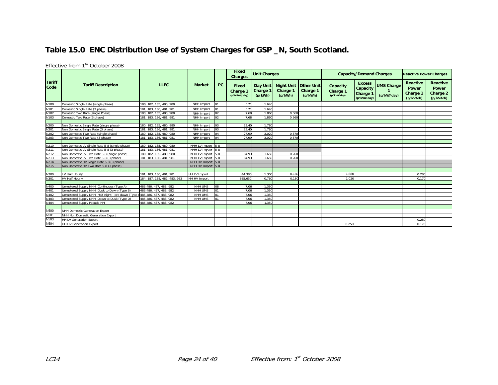### **Table 15.0 ENC Distribution Use of System Charges for GSP \_N, South Scotland.**

Effective from 1st October 2008

|                       |                                                                          |                              |                   |    | <b>Fixed</b><br><b>Charges</b>           | <b>Unit Charges</b>             |                     |                                                       |                                     | <b>Capacity/Demand Charges</b>                              |                                 | <b>Reactive Power Charges</b>              |                                                          |
|-----------------------|--------------------------------------------------------------------------|------------------------------|-------------------|----|------------------------------------------|---------------------------------|---------------------|-------------------------------------------------------|-------------------------------------|-------------------------------------------------------------|---------------------------------|--------------------------------------------|----------------------------------------------------------|
| <b>Tariff</b><br>Code | <b>Tariff Description</b>                                                | <b>LLFC</b>                  | <b>Market</b>     | PC | <b>Fixed</b><br>Charge 1<br>(p/MPAN/day) | Day Unit<br>Charge 1<br>(p/kWh) | Charge 1<br>(p/kWh) | <b>Night Unit   Other Unit</b><br>Charge 1<br>(p/kWh) | Capacity<br>Charge 1<br>(p/kVA/day) | <b>Excess</b><br>Capacity<br><b>Charge 1</b><br>(p/kVA/day) | <b>UMS Charge</b><br>(p/kW/day) | Reactive<br>Power<br>Charge 1<br>(p/kVArh) | <b>Reactive</b><br><b>Power</b><br>Charge 2<br>(p/kVArh) |
| N <sub>100</sub>      | Domestic Single Rate (single phase)                                      | 180, 182, 185, 480, 980      | NHH Import        | 01 | 5.71                                     | 1.640                           |                     |                                                       |                                     |                                                             |                                 |                                            |                                                          |
| N101                  | Domestic Single Rate (3 phase)                                           | 181, 183, 186, 481, 981      | NHH Import        |    | 5.71                                     | 1.640                           |                     |                                                       |                                     |                                                             |                                 |                                            |                                                          |
| N102                  | Domestic Two Rate (single Phase)                                         | 180, 182, 185, 480, 980      | NHH Import        | 02 | 7.68                                     | 1.860                           | 0.560               |                                                       |                                     |                                                             |                                 |                                            |                                                          |
| N103                  | Domestic Two Rate (3 phase)                                              | 181, 183, 186, 481, 981      | NHH Import        | 02 | 7.68                                     | 1.860                           | 0.560               |                                                       |                                     |                                                             |                                 |                                            |                                                          |
|                       |                                                                          |                              |                   |    |                                          |                                 |                     |                                                       |                                     |                                                             |                                 |                                            |                                                          |
| N200                  | Non Domestic Single Rate (single phase)                                  | 180, 182, 185, 480, 980      | NHH Import        | 03 | 23.40                                    | 1.780                           |                     |                                                       |                                     |                                                             |                                 |                                            |                                                          |
| N201                  | Non Domestic Single Rate (3 phase)                                       | 181, 183, 186, 481, 981      | NHH Import        | 03 | 23.40                                    | 1.780                           |                     |                                                       |                                     |                                                             |                                 |                                            |                                                          |
| N202                  | Non Domestic Two Rate (single phase)                                     | 180, 182, 185, 480, 980      | NHH Import        | 04 | 27.99                                    | 3.020                           | 0.870               |                                                       |                                     |                                                             |                                 |                                            |                                                          |
| N203                  | Non Domestic Two Rate (3 phase)                                          | 181, 183, 186, 481, 981      | NHH Import        | 04 | 27.99                                    | 3.020                           | 0.870               |                                                       |                                     |                                                             |                                 |                                            |                                                          |
|                       |                                                                          |                              |                   |    |                                          |                                 |                     |                                                       |                                     |                                                             |                                 |                                            |                                                          |
| N210                  | Non Domestic LV Single Rate 5-8 (single phase)                           | 180, 182, 185, 480, 980      | NHH LV Import 5-8 |    |                                          |                                 |                     |                                                       |                                     |                                                             |                                 |                                            |                                                          |
| N211                  | Non Domestic LV Single Rate 5-8 (3 phase)                                | 181, 183, 186, 481, 981      | NHH LV Import 5-8 |    |                                          |                                 |                     |                                                       |                                     |                                                             |                                 |                                            |                                                          |
| N212                  | Non Domestic LV Two Rate 5-8 (single phase)                              | 180, 182, 185, 480, 980      | NHH LV Import 5-8 |    | 84.93                                    | 1.650                           | 0.260               |                                                       |                                     |                                                             |                                 |                                            |                                                          |
| N213                  | Non Domestic LV Two Rate 5-8 (3 phase)                                   | 181, 183, 186, 481, 981      | NHH LV Import 5-8 |    | 84.93                                    | 1.650                           | 0.260               |                                                       |                                     |                                                             |                                 |                                            |                                                          |
| N214                  | Non Domestic HV Single Rate 5-8 (3 phase)                                |                              | NHH HV Import 5-8 |    |                                          |                                 |                     |                                                       |                                     |                                                             |                                 |                                            |                                                          |
| N215                  | Non Domestic HV Two Rate 5-8 (3 phase)                                   |                              | NHH HV Import 5-8 |    |                                          |                                 |                     |                                                       |                                     |                                                             |                                 |                                            |                                                          |
|                       |                                                                          |                              |                   |    |                                          |                                 |                     |                                                       |                                     |                                                             |                                 |                                            |                                                          |
| N300                  | LV Half Hourly                                                           | 181, 183, 186, 481, 981      | HH LV Import      |    | 44.380                                   | 1.300                           | 0.160               |                                                       | 1.880                               |                                                             |                                 | 0.280                                      |                                                          |
| N301                  | <b>HV Half Hourly</b>                                                    | 184, 187, 188, 482, 483, 983 | HH HV Import      |    | 655.630                                  | 0.760                           | 0.180               |                                                       | 1.020                               |                                                             |                                 | 0.170                                      |                                                          |
|                       |                                                                          |                              |                   |    |                                          |                                 |                     |                                                       |                                     |                                                             |                                 |                                            |                                                          |
| N400                  | Unmetered Supply NHH Continuous (Type A)                                 | 485.486, 487, 488, 982       | <b>NHH UMS</b>    | 08 | 7.06                                     | 1.350                           |                     |                                                       |                                     |                                                             |                                 |                                            |                                                          |
| N401                  | Unmetered Supply NHH Dusk to Dawn (Type B)                               | 485.486.487.488.982          | NHH UMS           | 01 | 7.06                                     | 1.350                           |                     |                                                       |                                     |                                                             |                                 |                                            |                                                          |
| N402                  | Unmetered Supply NHH Half night - pre dawn (Type 0485,486, 487, 488, 982 |                              | NHH UMS           | 01 | 7.06                                     | 1.350                           |                     |                                                       |                                     |                                                             |                                 |                                            |                                                          |
| N403                  | Unmetered Supply NHH Dawn to Dusk (Type D)                               | 485,486, 487, 488, 982       | NHH UMS           | 01 | 7.06                                     | 1.350                           |                     |                                                       |                                     |                                                             |                                 |                                            |                                                          |
| N404                  | Unmetered Supply Pseudo HH                                               | 485,486, 487, 488, 982       |                   |    | 7.06                                     | 1.350                           |                     |                                                       |                                     |                                                             |                                 |                                            |                                                          |
|                       |                                                                          |                              |                   |    |                                          |                                 |                     |                                                       |                                     |                                                             |                                 |                                            |                                                          |
| N500                  | NHH Domestic Generation Export                                           |                              |                   |    |                                          |                                 |                     |                                                       |                                     |                                                             |                                 |                                            |                                                          |
| N501                  | NHH Non Domestic Generation Export                                       |                              |                   |    |                                          |                                 |                     |                                                       |                                     |                                                             |                                 |                                            |                                                          |
| N503                  | <b>HH LV Generation Export</b>                                           |                              |                   |    |                                          |                                 |                     |                                                       |                                     |                                                             |                                 | 0.280                                      |                                                          |
| <b>N504</b>           | <b>HH HV Generation Export</b>                                           |                              |                   |    |                                          |                                 |                     |                                                       | 0.250                               |                                                             |                                 | 0.170                                      |                                                          |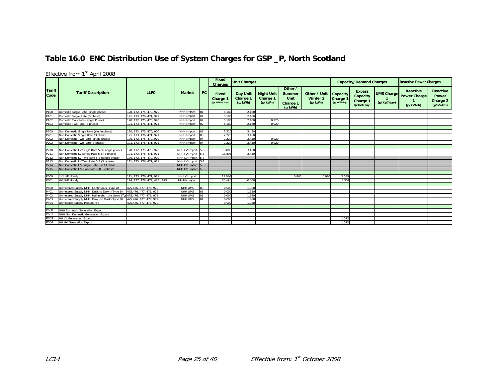### **Table 16.0 ENC Distribution Use of System Charges for GSP \_P, North Scotland**

|                       |                                                                         |                              |                     |             | Fixed<br><b>Charges</b>           | <b>Unit Charges</b>             |                                          |                                                  |                                            |                                            | <b>Capacity/Demand Charges</b>                       |                                 | <b>Reactive Power Charges</b>                |                                                   |
|-----------------------|-------------------------------------------------------------------------|------------------------------|---------------------|-------------|-----------------------------------|---------------------------------|------------------------------------------|--------------------------------------------------|--------------------------------------------|--------------------------------------------|------------------------------------------------------|---------------------------------|----------------------------------------------|---------------------------------------------------|
| <b>Tariff</b><br>Code | <b>Tariff Description</b>                                               | <b>LLFC</b>                  | <b>Market</b>       | <b>PC</b>   | Fixed<br>Charge 1<br>(p/MPAN/day) | Day Unit<br>Charge 1<br>(p/kWh) | <b>Night Unit</b><br>Charge 1<br>(p/kWh) | Other /<br>Summer<br>Unit<br>Charge 1<br>(p/kWh) | Other / Unit<br><b>Winter 2</b><br>(p/kWh) | Capacity<br><b>Charge 1</b><br>(p/kVA/day) | <b>Excess</b><br>Capacity<br>Charge 1<br>(p/kVA/day) | <b>UMS Charge</b><br>(p/kW/day) | Reactive<br><b>Power Charge</b><br>(p/kVArh) | <b>Reactive</b><br>Power<br>Charge 2<br>(p/kVArh) |
| P100                  | Domestic Single Rate (single phase)                                     | 170. 172. 175. 470. 970      | NHH Import          | 01          | 5.180                             | 2.160                           |                                          |                                                  |                                            |                                            |                                                      |                                 |                                              |                                                   |
| P101                  | Domestic Single Rate (3 phase)                                          | 171, 173, 176, 471, 971      | NHH Import          | 01          | 5.180                             | 2.160                           |                                          |                                                  |                                            |                                            |                                                      |                                 |                                              |                                                   |
| P102                  | Domestic Two Rate (single Phase)                                        | 170, 172, 175, 470, 970      | NHH Import          | $\sqrt{02}$ | 5.180                             | 2.160                           | 0.920                                    |                                                  |                                            |                                            |                                                      |                                 |                                              |                                                   |
| P103                  | Domestic Two Rate (3 phase)                                             | 171, 173, 176, 471, 971      | NHH Import          | 02          | 5.180                             | 2.160                           | 0.920                                    |                                                  |                                            |                                            |                                                      |                                 |                                              |                                                   |
|                       |                                                                         |                              |                     |             |                                   |                                 |                                          |                                                  |                                            |                                            |                                                      |                                 |                                              |                                                   |
| P200                  | Non Domestic Single Rate (single phase)                                 | 170. 172. 175. 470. 970      | NHH Import          | 03          | 7.22C                             | 3.450                           |                                          |                                                  |                                            |                                            |                                                      |                                 |                                              |                                                   |
| P201                  | Non Domestic Single Rate (3 phase)                                      | 171, 173, 176, 471, 971      | NHH Import          | 103         | 7.220                             | 3.450                           |                                          |                                                  |                                            |                                            |                                                      |                                 |                                              |                                                   |
| P202                  | Non Domestic Two Rate (single phase)                                    | 170, 172, 175, 470, 970      | NHH Import          | 04          | 7.220                             | 3.450                           | 0.920                                    |                                                  |                                            |                                            |                                                      |                                 |                                              |                                                   |
| P203                  | Non Domestic Two Rate (3 phase)                                         | 171, 173, 176, 471, 971      | NHH Import          | 04          | 7.22C                             | 3.450                           | 0.920                                    |                                                  |                                            |                                            |                                                      |                                 |                                              |                                                   |
|                       |                                                                         |                              |                     |             |                                   |                                 |                                          |                                                  |                                            |                                            |                                                      |                                 |                                              |                                                   |
| P210                  | Non Domestic LV Single Rate 5-8 (single phase)                          | 170, 172, 175, 470, 970      | NHH LV Import 5-8   |             | 13.808                            | 3.450                           |                                          |                                                  |                                            |                                            |                                                      |                                 |                                              |                                                   |
| P211                  | Non Domestic LV Single Rate 5-8 (3 phase)                               | 171, 173, 176, 471, 971      | NHH LV Import 5-8   |             | 13.808                            | 3.450                           |                                          |                                                  |                                            |                                            |                                                      |                                 |                                              |                                                   |
| P212                  | Non Domestic LV Two Rate 5-8 (single phase)                             | 170, 172, 175, 470, 970      | NHH LV Import 5-8   |             |                                   |                                 |                                          |                                                  |                                            |                                            |                                                      |                                 |                                              |                                                   |
| P213                  | Non Domestic LV Two Rate 5-8 (3 phase)                                  | 171, 173, 176, 471, 971      | NHH LV Import 5-8   |             |                                   |                                 |                                          |                                                  |                                            |                                            |                                                      |                                 |                                              |                                                   |
| P214                  | Non Domestic HV Single Rate 5-8 (3 phase)                               |                              | NHH HV Import 5-8   |             |                                   |                                 |                                          |                                                  |                                            |                                            |                                                      |                                 |                                              |                                                   |
| P215                  | Non Domestic HV Two Rate 5-8 (3 phase)                                  |                              | NHH HV Import 5-8   |             |                                   |                                 |                                          |                                                  |                                            |                                            |                                                      |                                 |                                              |                                                   |
|                       |                                                                         |                              |                     |             |                                   |                                 |                                          |                                                  |                                            |                                            |                                                      |                                 |                                              |                                                   |
| P300                  | LV Half Hourly                                                          | 171, 173, 176, 471, 971      | <b>HH LV Import</b> |             | 11.046                            |                                 |                                          | 0.860                                            | 0.920                                      | 5.589                                      |                                                      |                                 |                                              |                                                   |
| P301                  | <b>HV Half Hourly</b>                                                   | 174, 177, 178, 472, 473, 973 | HH HV Import        |             | 76.471                            | 0.600                           |                                          |                                                  |                                            | 4.504                                      |                                                      |                                 |                                              |                                                   |
|                       |                                                                         |                              |                     |             |                                   |                                 |                                          |                                                  |                                            |                                            |                                                      |                                 |                                              |                                                   |
| P400                  | Unmetered Supply NHH Continuous (Type A)                                | 475.476.477.478.972          | NHH UMS             | 80          | 0.000                             | 1.980                           |                                          |                                                  |                                            |                                            |                                                      |                                 |                                              |                                                   |
| P401                  | Unmetered Supply NHH Dusk to Dawn (Type B)                              | 475.476.477.478.972          | NHH UMS             | 01          | 0.000                             | 1.980                           |                                          |                                                  |                                            |                                            |                                                      |                                 |                                              |                                                   |
| P402                  | Unmetered Supply NHH Half night - pre dawn (Typ 475, 476, 477, 478, 972 |                              | NHH UMS             | 01          | 0.000                             | 1.980                           |                                          |                                                  |                                            |                                            |                                                      |                                 |                                              |                                                   |
| P403                  | Unmetered Supply NHH Dawn to Dusk (Type D)                              | 475.476, 477, 478, 972       | NHH UMS             | 01          | 0.000                             | 1.980                           |                                          |                                                  |                                            |                                            |                                                      |                                 |                                              |                                                   |
| P404                  | Unmetered Supply Pseudo HH                                              | 475.476.477.478.972          |                     |             | 0.000                             | 1.980                           |                                          |                                                  |                                            |                                            |                                                      |                                 |                                              |                                                   |
|                       |                                                                         |                              |                     |             |                                   |                                 |                                          |                                                  |                                            |                                            |                                                      |                                 |                                              |                                                   |
| P500                  | NHH Domestic Generation Export                                          |                              |                     |             |                                   |                                 |                                          |                                                  |                                            |                                            |                                                      |                                 |                                              |                                                   |
| P501                  | NHH Non Domestic Generation Export                                      |                              |                     |             |                                   |                                 |                                          |                                                  |                                            |                                            |                                                      |                                 |                                              |                                                   |
| P503                  | <b>HH LV Generation Export</b>                                          |                              |                     |             |                                   |                                 |                                          |                                                  |                                            | 1.512                                      |                                                      |                                 |                                              |                                                   |
| P504                  | <b>HH HV Generation Export</b>                                          |                              |                     |             |                                   |                                 |                                          |                                                  |                                            | 1.512                                      |                                                      |                                 |                                              |                                                   |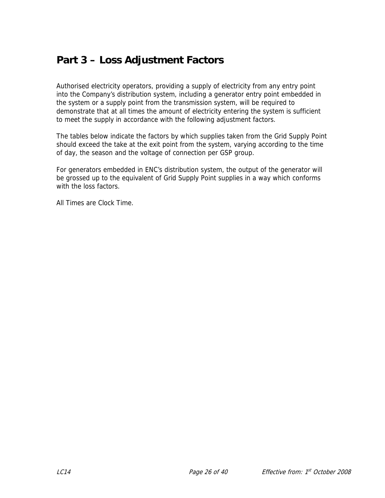# **Part 3 – Loss Adjustment Factors**

Authorised electricity operators, providing a supply of electricity from any entry point into the Company's distribution system, including a generator entry point embedded in the system or a supply point from the transmission system, will be required to demonstrate that at all times the amount of electricity entering the system is sufficient to meet the supply in accordance with the following adjustment factors.

The tables below indicate the factors by which supplies taken from the Grid Supply Point should exceed the take at the exit point from the system, varying according to the time of day, the season and the voltage of connection per GSP group.

For generators embedded in ENC's distribution system, the output of the generator will be grossed up to the equivalent of Grid Supply Point supplies in a way which conforms with the loss factors.

All Times are Clock Time.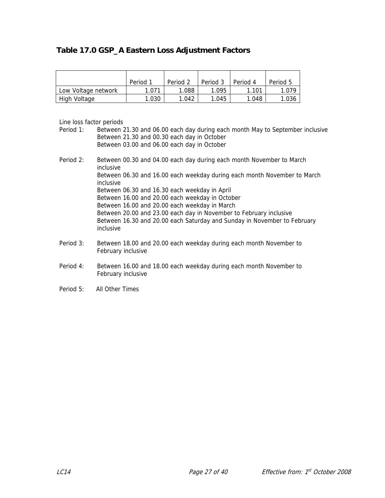### **Table 17.0 GSP\_A Eastern Loss Adjustment Factors**

|                     | Period 1 | Period 2 | Period 3 | Period 4 | Period 5 |
|---------------------|----------|----------|----------|----------|----------|
| Low Voltage network | 1.071    | 1.088    | 1.095    | 1.101    | 1.079    |
| High Voltage        | 1.030    | 1.042    | 1.045    | 1.048    | 1.036    |

Line loss factor periods

| Period 1: | Between 21.30 and 06.00 each day during each month May to September inclusive<br>Between 21.30 and 00.30 each day in October<br>Between 03.00 and 06.00 each day in October |
|-----------|-----------------------------------------------------------------------------------------------------------------------------------------------------------------------------|
| Period 2: | Between 00.30 and 04.00 each day during each month November to March<br>inclusive                                                                                           |
|           | Between 06.30 and 16.00 each weekday during each month November to March<br>inclusive                                                                                       |
|           | Between 06.30 and 16.30 each weekday in April                                                                                                                               |
|           | Between 16.00 and 20.00 each weekday in October                                                                                                                             |
|           | Between 16.00 and 20.00 each weekday in March                                                                                                                               |
|           | Between 20.00 and 23.00 each day in November to February inclusive                                                                                                          |
|           | Between 16.30 and 20.00 each Saturday and Sunday in November to February<br>inclusive                                                                                       |
| Period 3: | Between 18.00 and 20.00 each weekday during each month November to<br>February inclusive                                                                                    |
| Period 4: | Between 16.00 and 18.00 each weekday during each month November to<br>February inclusive                                                                                    |

Period 5: All Other Times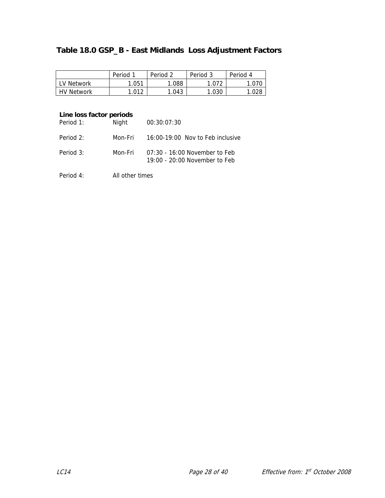### **Table 18.0 GSP\_B - East Midlands Loss Adjustment Factors**

|                   | Period 1    | Period 2 | Period 3 | Period 4 |
|-------------------|-------------|----------|----------|----------|
| LV Network        | .051        | .088     |          |          |
| <b>HV Network</b> | _ስ1 ን<br>.v | .043     | .030     |          |

#### **Line loss factor periods**

| Period 1: | Night   | 00:30:07:30                                                    |
|-----------|---------|----------------------------------------------------------------|
| Period 2: | Mon-Fri | 16:00-19:00 Nov to Feb inclusive                               |
| Period 3: | Mon-Fri | 07:30 - 16:00 November to Feb<br>19:00 - 20:00 November to Feb |

Period 4: All other times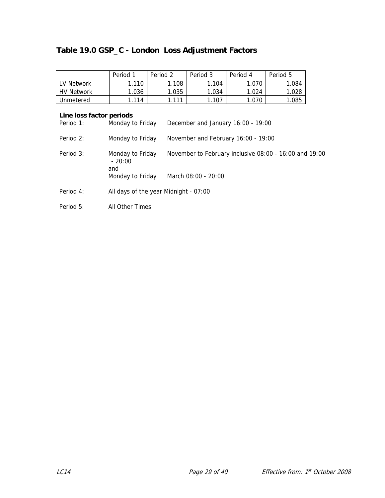# **Table 19.0 GSP\_C - London Loss Adjustment Factors**

|                                                    | Period 1                                                | Period 2 | Period 3            | Period 4                                                                  | Period 5                                               |  |
|----------------------------------------------------|---------------------------------------------------------|----------|---------------------|---------------------------------------------------------------------------|--------------------------------------------------------|--|
| LV Network                                         | 1.110                                                   | 1.108    | 1.104               | 1.070                                                                     | 1.084                                                  |  |
| <b>HV Network</b>                                  | 1.036                                                   | 1.035    | 1.034               | 1.024                                                                     | 1.028                                                  |  |
| Unmetered                                          | 1.114                                                   | 1.111    | 1.107               | 1.070                                                                     | 1.085                                                  |  |
| Line loss factor periods<br>Period 1:<br>Period 2: | Monday to Friday<br>Monday to Friday                    |          |                     | December and January 16:00 - 19:00<br>November and February 16:00 - 19:00 |                                                        |  |
| Period 3:                                          | Monday to Friday<br>$-20:00$<br>and<br>Monday to Friday |          | March 08:00 - 20:00 |                                                                           | November to February inclusive 08:00 - 16:00 and 19:00 |  |
| Period 4:                                          | All days of the year Midnight - 07:00                   |          |                     |                                                                           |                                                        |  |
| Period 5:                                          | All Other Times                                         |          |                     |                                                                           |                                                        |  |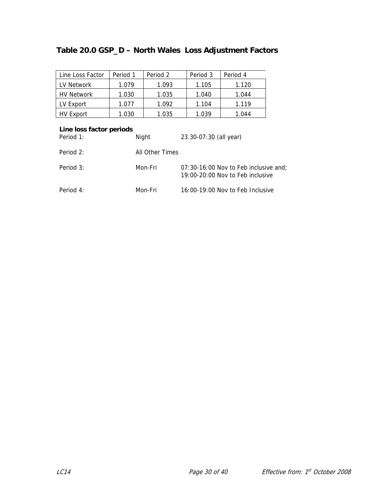# **Table 20.0 GSP\_D – North Wales Loss Adjustment Factors**

| Line Loss Factor  | Period 1 | Period 2 | Period 3 | Period 4 |
|-------------------|----------|----------|----------|----------|
| LV Network        | 1.079    | 1.093    | 1.105    | 1.120    |
| <b>HV Network</b> | 1.030    | 1.035    | 1.040    | 1.044    |
| LV Export         | 1.077    | 1.092    | 1.104    | 1 1 1 9  |
| HV Export         | 1.030    | 1.035    | 1.039    | 1.044    |

| Period 1: | Night           | 23.30-07:30 (all year)                                                    |
|-----------|-----------------|---------------------------------------------------------------------------|
| Period 2: | All Other Times |                                                                           |
| Period 3: | Mon-Fri         | 07:30-16:00 Nov to Feb inclusive and;<br>19:00-20:00 Nov to Feb inclusive |
| Period 4: | Mon-Fri         | 16:00-19:00 Nov to Feb Inclusive                                          |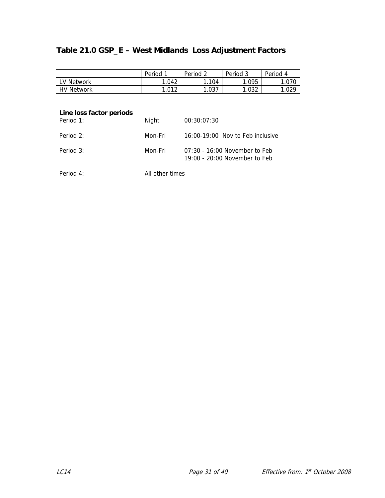### **Table 21.0 GSP\_E – West Midlands Loss Adjustment Factors**

|               | Period | Period 2 | Period 3 | Period 4 |
|---------------|--------|----------|----------|----------|
| LV Network    | .042   | .104     | .095     |          |
| HV<br>Network | 012. ا | .037     | .032     | .029     |

| Period 1: | Night           | 00:30:07:30                                                      |
|-----------|-----------------|------------------------------------------------------------------|
| Period 2: | Mon-Fri         | 16:00-19:00 Nov to Feb inclusive                                 |
| Period 3: | Mon-Fri         | $07:30 - 16:00$ November to Feb<br>19:00 - 20:00 November to Feb |
| Period 4: | All other times |                                                                  |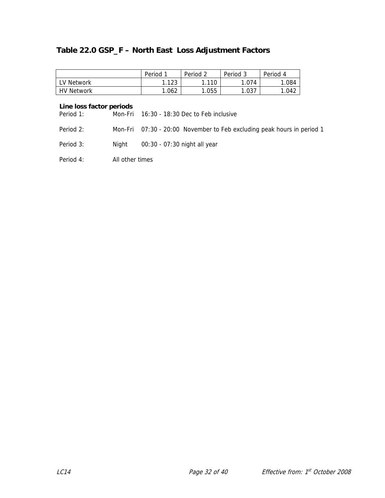# **Table 22.0 GSP\_F – North East Loss Adjustment Factors**

|                   | Period | Period 2       | Period 3 | Period<br>-4 |
|-------------------|--------|----------------|----------|--------------|
| LV Network        | .123   | 110<br>1. I IV | .074     | 1.084        |
| <b>HV Network</b> | 1.062  | 1.055          | .037     | 1.042        |

| Period 1: |                 | Mon-Fri 16:30 - 18:30 Dec to Feb inclusive                             |
|-----------|-----------------|------------------------------------------------------------------------|
| Period 2: |                 | Mon-Fri 07:30 - 20:00 November to Feb excluding peak hours in period 1 |
| Period 3: | Niaht           | 00:30 - 07:30 night all year                                           |
| Period 4: | All other times |                                                                        |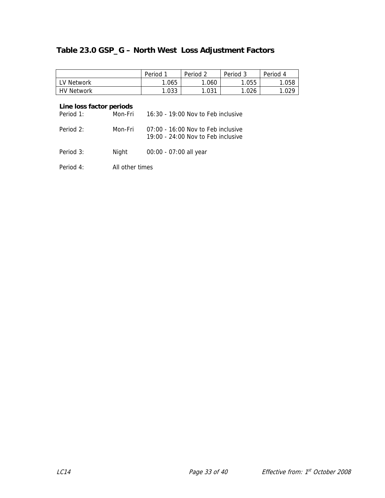# **Table 23.0 GSP\_G – North West Loss Adjustment Factors**

|                       | Period | Period | Period 3 | Period<br>-4 |
|-----------------------|--------|--------|----------|--------------|
| LV Network            | 1.065  | .060   | .055     | .058         |
| HV.<br><b>Network</b> | 1.033  | .031   | .026     | .029         |

| Period 1: | Mon-Fri         | 16:30 - 19:00 Nov to Feb inclusive                                         |
|-----------|-----------------|----------------------------------------------------------------------------|
| Period 2: | Mon-Fri         | 07:00 - 16:00 Nov to Feb inclusive<br>$19:00 - 24:00$ Nov to Feb inclusive |
| Period 3: | Night           | 00:00 - 07:00 all year                                                     |
| Period 4: | All other times |                                                                            |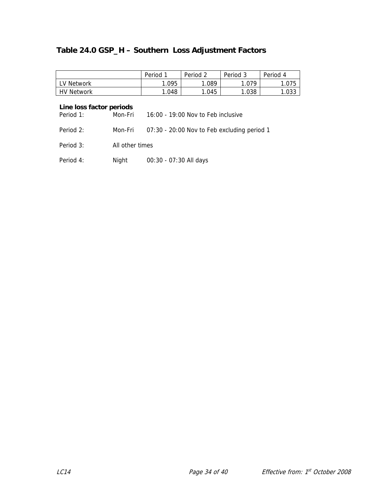# **Table 24.0 GSP\_H – Southern Loss Adjustment Factors**

|                   | Period | Period 2 | Period 3 | Period<br>4 |
|-------------------|--------|----------|----------|-------------|
| LV Network        | 1.095  | 1.089    | 079. ا   | 1.075       |
| <b>HV Network</b> | 1.048  | 1.045    | 0.038    | 1.033       |

| Period 1: | Mon-Fri         | 16:00 - 19:00 Nov to Feb inclusive                  |
|-----------|-----------------|-----------------------------------------------------|
| Period 2: |                 | Mon-Fri 07:30 - 20:00 Nov to Feb excluding period 1 |
| Period 3: | All other times |                                                     |
| Period 4: | Night           | 00:30 - 07:30 All days                              |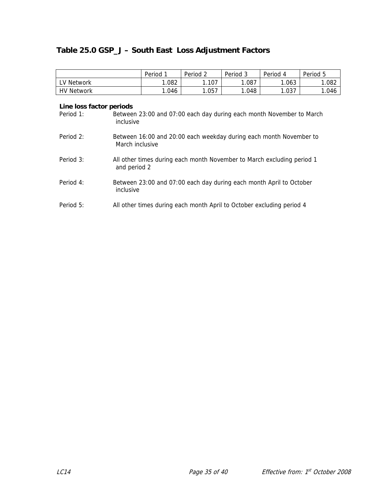# **Table 25.0 GSP\_J – South East Loss Adjustment Factors**

|                                                                                                     |                                                                                       | Period 1 | Period 2                                                              | Period 3 | Period 4 | Period 5 |  |
|-----------------------------------------------------------------------------------------------------|---------------------------------------------------------------------------------------|----------|-----------------------------------------------------------------------|----------|----------|----------|--|
| LV Network                                                                                          |                                                                                       | 1.082    | 1.107                                                                 | 1.087    | 1.063    | 1.082    |  |
| <b>HV Network</b>                                                                                   |                                                                                       | 1.046    | 1.057                                                                 | 1.048    | 1.037    | 1.046    |  |
|                                                                                                     |                                                                                       |          |                                                                       |          |          |          |  |
| Line loss factor periods                                                                            |                                                                                       |          |                                                                       |          |          |          |  |
| Period 1:                                                                                           | inclusive                                                                             |          | Between 23:00 and 07:00 each day during each month November to March  |          |          |          |  |
| Period 2:                                                                                           | Between 16:00 and 20:00 each weekday during each month November to<br>March inclusive |          |                                                                       |          |          |          |  |
| Period 3:<br>All other times during each month November to March excluding period 1<br>and period 2 |                                                                                       |          |                                                                       |          |          |          |  |
| Period 4:                                                                                           | Between 23:00 and 07:00 each day during each month April to October<br>inclusive      |          |                                                                       |          |          |          |  |
| Period 5:                                                                                           |                                                                                       |          | All other times during each month April to October excluding period 4 |          |          |          |  |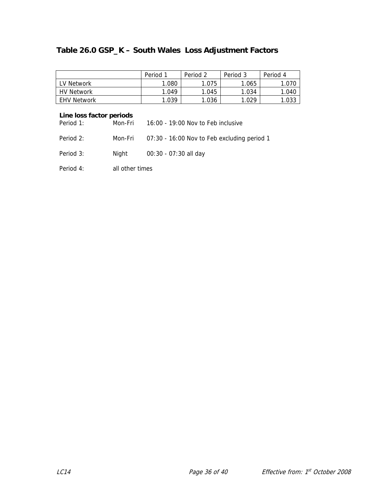# **Table 26.0 GSP\_K – South Wales Loss Adjustment Factors**

|                    | Period 1 | Period 2 | Period 3 | Period 4 |
|--------------------|----------|----------|----------|----------|
| LV Network         | 1.080    | 1.075    | 1.065    | .070     |
| <b>HV Network</b>  | 1.049    | 1.045    | 1.034    | 1.040    |
| <b>EHV Network</b> | 1.039    | 1.036    | 1.029    | 1.033    |

### **Line loss factor periods**

| Period 1: | Mon-Fri | 16:00 - 19:00 Nov to Feb inclusive          |
|-----------|---------|---------------------------------------------|
| Period 2: | Mon-Fri | 07:30 - 16:00 Nov to Feb excluding period 1 |
| Period 3: | Night   | $00:30 - 07:30$ all day                     |

Period 4: all other times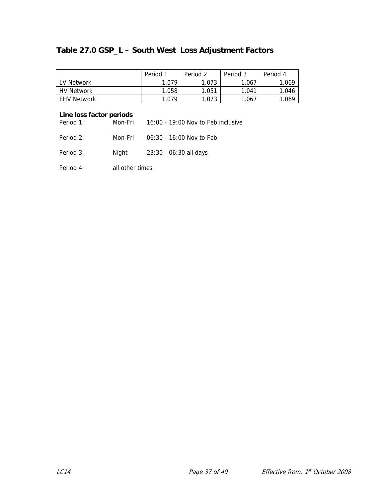### **Table 27.0 GSP\_L – South West Loss Adjustment Factors**

|                    | Period 1 | Period 2 | Period 3 | Period 4 |
|--------------------|----------|----------|----------|----------|
| LV Network         | 1.079    | 1.073    | 1.067    | 1.069    |
| <b>HV Network</b>  | 1.058    | 1.051    | 1.041    | 1.046    |
| <b>EHV Network</b> | 1.079    | 1.073    | 1.067    | 1.069    |

| Period 1: | Mon-Fri         | 16:00 - 19:00 Nov to Feb inclusive |
|-----------|-----------------|------------------------------------|
| Period 2: | Mon-Fri         | 06:30 - 16:00 Nov to Feb           |
| Period 3: | Night           | 23:30 - 06:30 all days             |
| Period 4: | all other times |                                    |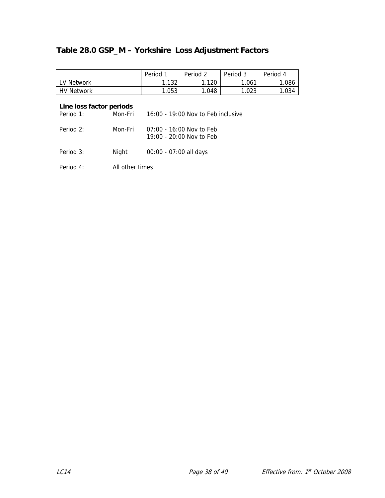### **Table 28.0 GSP\_M – Yorkshire Loss Adjustment Factors**

|                       | Period | Period<br>$\sqrt{2}$ | Period 3 | Period 4 |
|-----------------------|--------|----------------------|----------|----------|
| LV Network            | .132   | .120                 | .061     | .086     |
| HV.<br><b>Network</b> | 1.053  | 0.048                | .023     | .034     |

| Period 1: | Mon-Fri         | 16:00 - 19:00 Nov to Feb inclusive                   |
|-----------|-----------------|------------------------------------------------------|
| Period 2: | Mon-Fri         | 07:00 - 16:00 Nov to Feb<br>19:00 - 20:00 Nov to Feb |
| Period 3: | Night           | 00:00 - 07:00 all days                               |
| Period 4: | All other times |                                                      |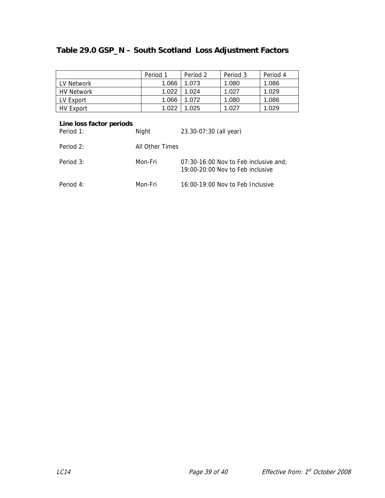# **Table 29.0 GSP\_N – South Scotland Loss Adjustment Factors**

|                   | Period 1 | Period 2 | Period 3 | Period 4 |
|-------------------|----------|----------|----------|----------|
| LV Network        | 1.066    | 1.073    | 1.080    | 1.086    |
| <b>HV Network</b> | 1.022    | 1.024    | 1.027    | 1.029    |
| LV Export         | 1.066    | 1.072    | 1.080    | 1.086    |
| <b>HV Export</b>  | 1.022    | 1.025    | 1.027    | 1.029    |

| Period 1: | Night           | 23.30-07:30 (all year)                                                    |
|-----------|-----------------|---------------------------------------------------------------------------|
| Period 2: | All Other Times |                                                                           |
| Period 3: | Mon-Fri         | 07:30-16:00 Nov to Feb inclusive and;<br>19:00-20:00 Nov to Feb inclusive |
| Period 4: | Mon-Fri         | 16:00-19:00 Nov to Feb Inclusive                                          |